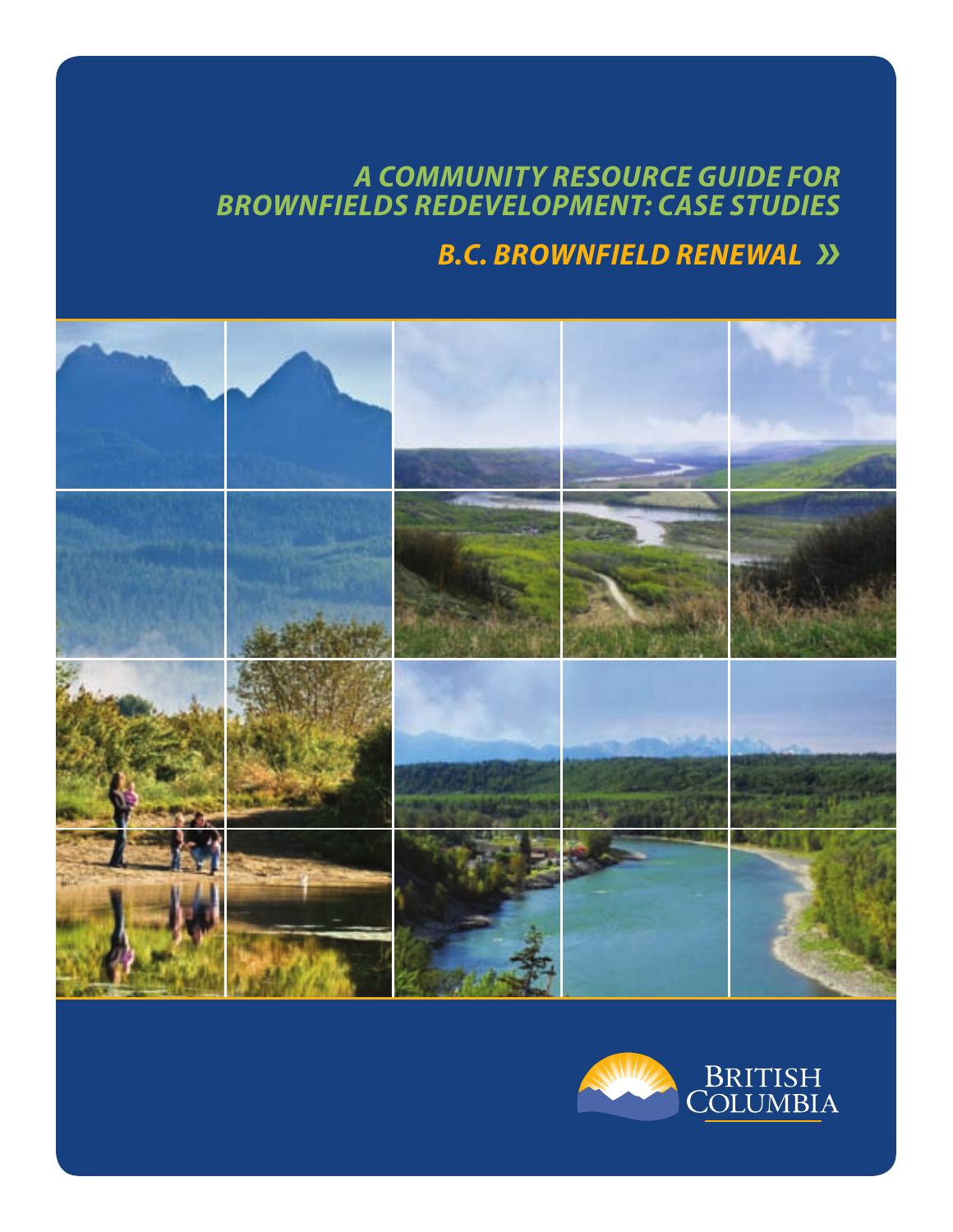# *A COMMUNITY RESOURCE GUIDE FOR BROWNFIELDS REDEVELOPMENT: CASE STUDIES B.C. BROWNFIELD RENEWAL »*



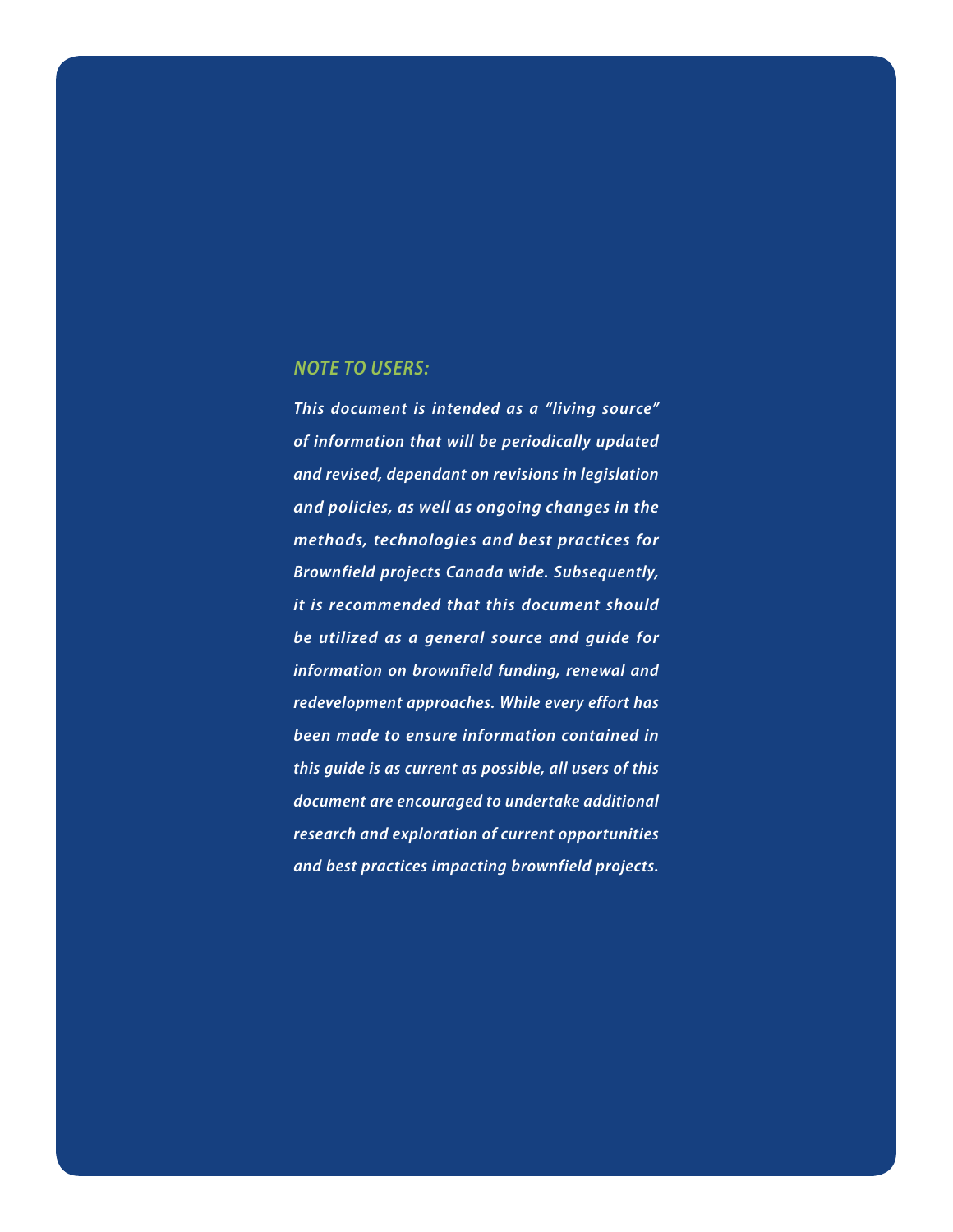#### *NOTE TO USERS:*

*This document is intended as a "living source" of information that will be periodically updated and revised, dependant on revisions in legislation and policies, as well as ongoing changes in the methods, technologies and best practices for Brownfield projects Canada wide. Subsequently, it is recommended that this document should be utilized as a general source and guide for information on brownfield funding, renewal and redevelopment approaches. While every effort has been made to ensure information contained in this guide is as current as possible, all users of this document are encouraged to undertake additional research and exploration of current opportunities and best practices impacting brownfield projects.*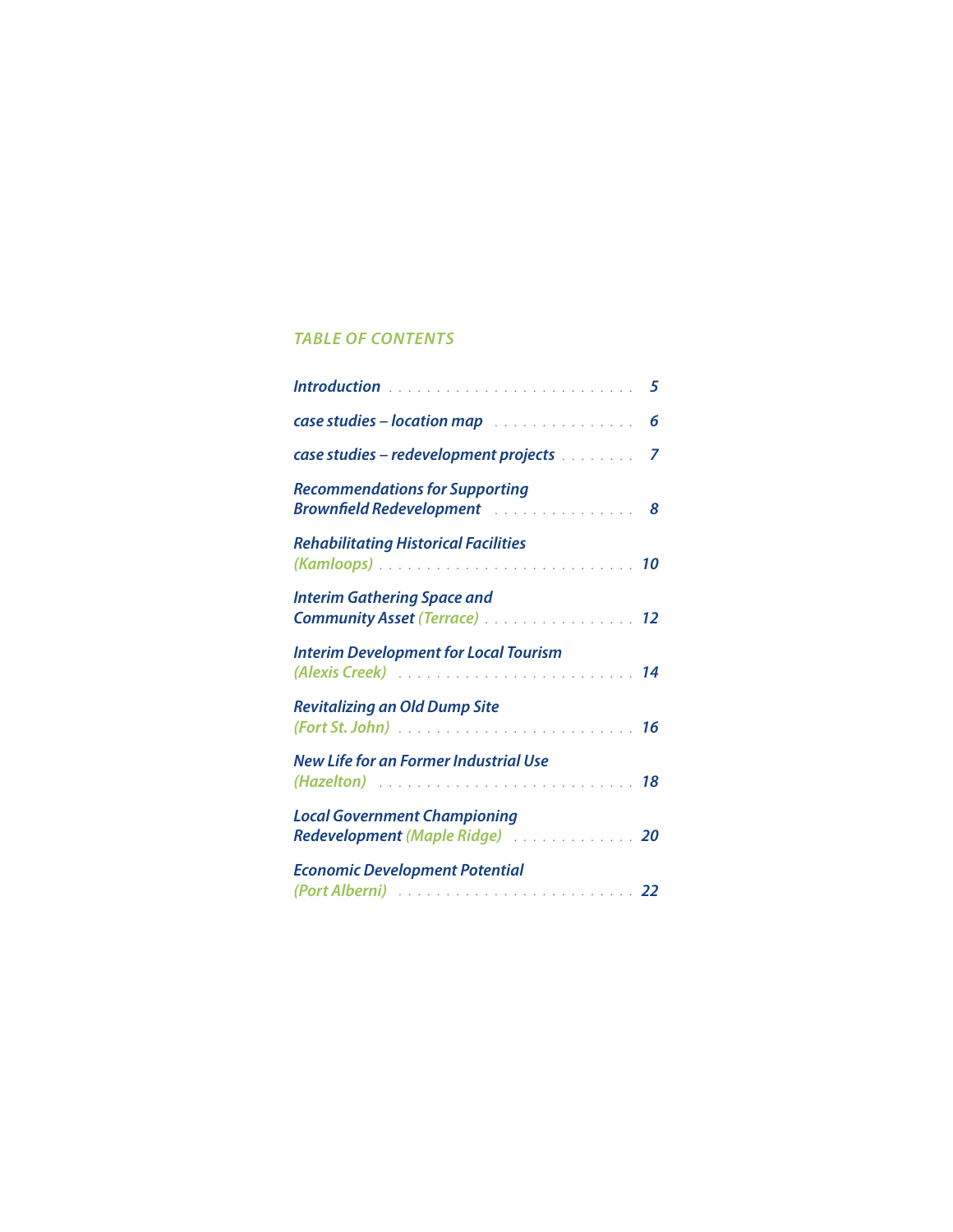# *TABLE OF CONTENTS*

| <b>case studies - location map</b> 6                                      |  |
|---------------------------------------------------------------------------|--|
| case studies - redevelopment projects [11, 11, 11, 11, 11]                |  |
| <b>Recommendations for Supporting</b>                                     |  |
| <b>Rehabilitating Historical Facilities</b>                               |  |
| <b>Interim Gathering Space and</b><br><b>Community Asset (Terrace)</b> 12 |  |
| <b>Interim Development for Local Tourism</b>                              |  |
| <b>Revitalizing an Old Dump Site</b>                                      |  |
| <b>New Life for an Former Industrial Use</b>                              |  |
| <b>Local Government Championing</b><br>Redevelopment (Maple Ridge)  20    |  |
| <b>Economic Development Potential</b>                                     |  |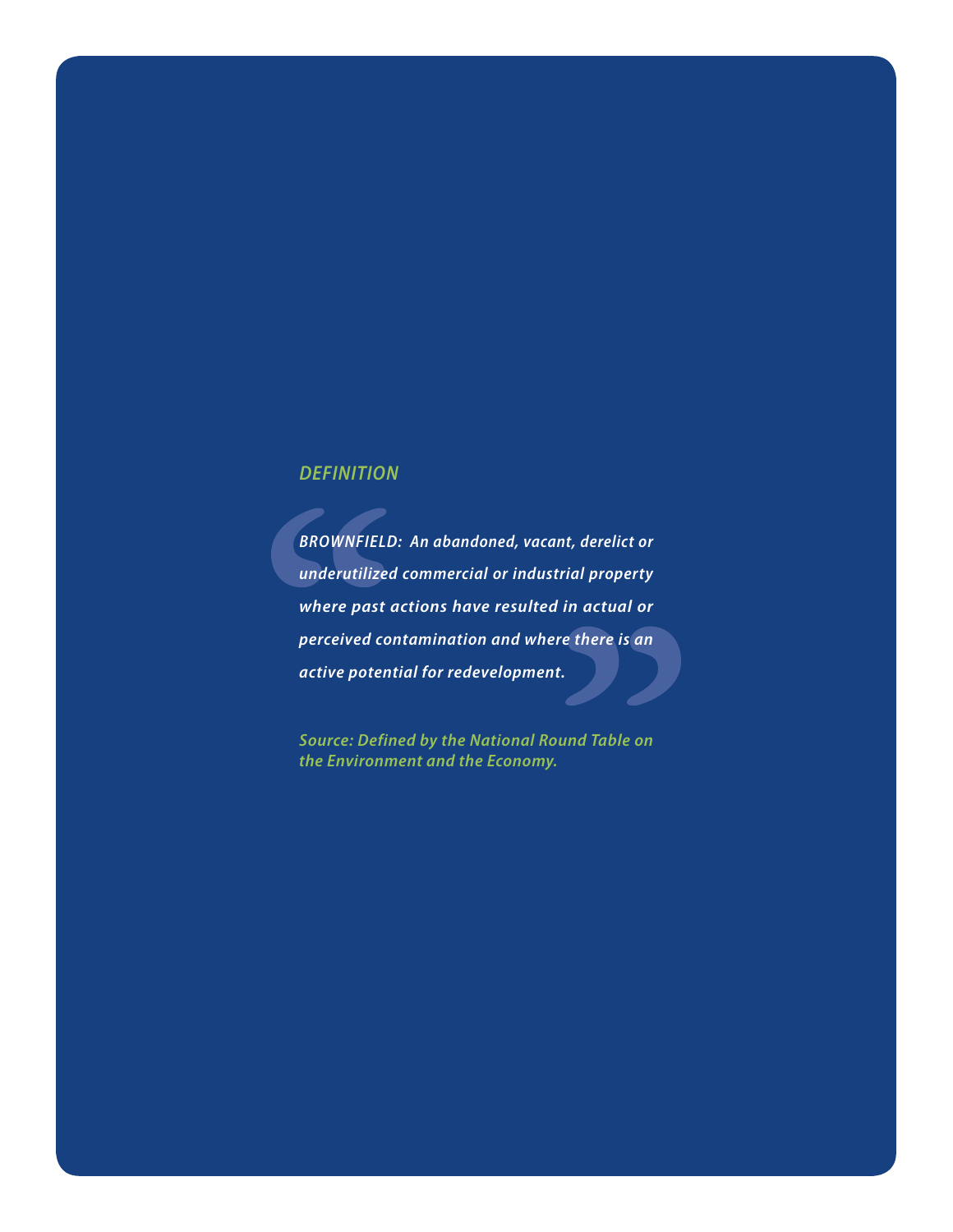# *DEFINITION*

*BROWNFIELD: An abandoned, vacant, derelict or underutilized commercial or industrial property where past actions have resulted in actual or perceived contamination and where there is an active potential for redevelopment.*

*Source: Defined by the National Round Table on the Environment and the Economy.*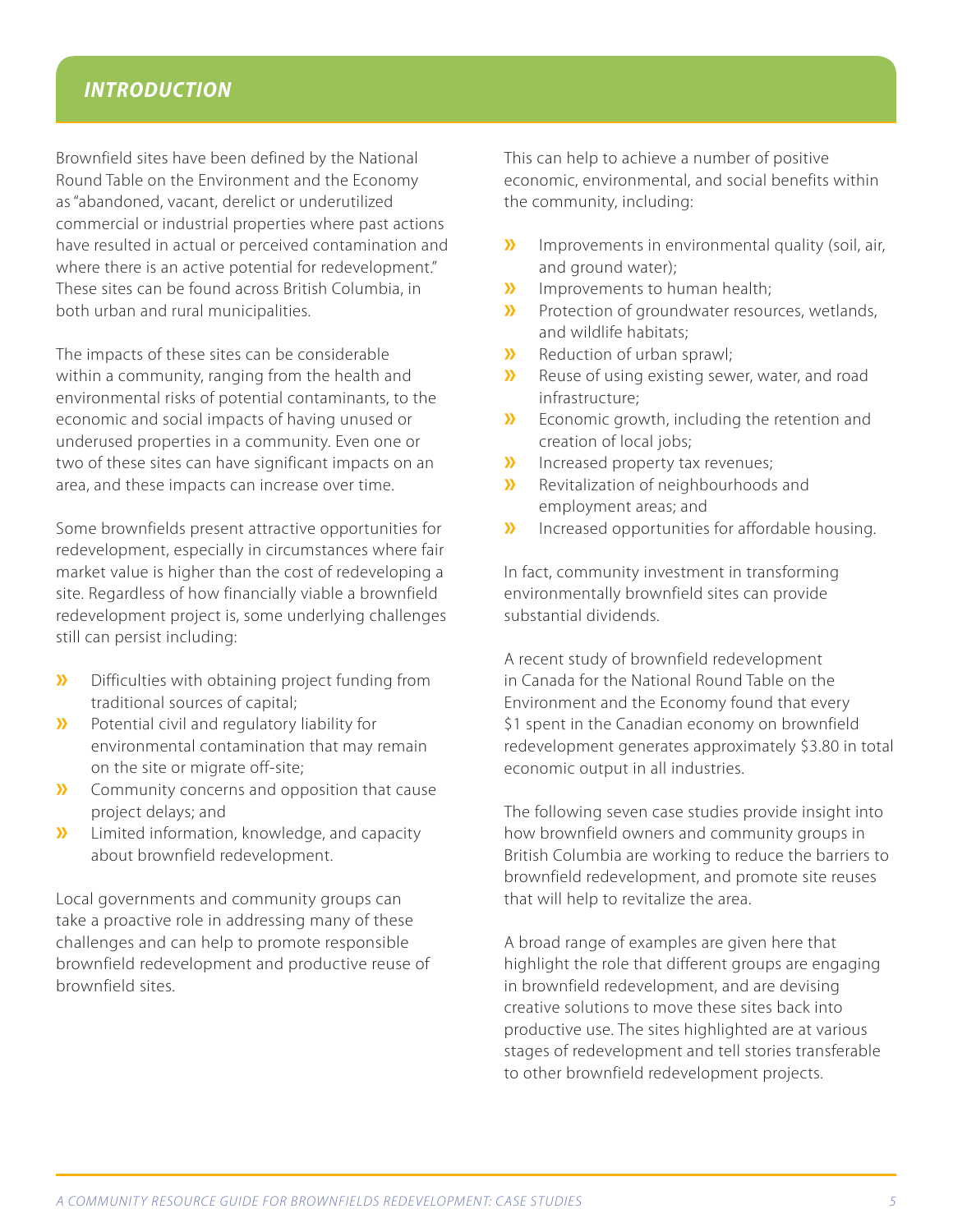# *INTRODUCTION*

Brownfield sites have been defined by the National Round Table on the Environment and the Economy as "abandoned, vacant, derelict or underutilized commercial or industrial properties where past actions have resulted in actual or perceived contamination and where there is an active potential for redevelopment." These sites can be found across British Columbia, in both urban and rural municipalities.

The impacts of these sites can be considerable within a community, ranging from the health and environmental risks of potential contaminants, to the economic and social impacts of having unused or underused properties in a community. Even one or two of these sites can have significant impacts on an area, and these impacts can increase over time.

Some brownfields present attractive opportunities for redevelopment, especially in circumstances where fair market value is higher than the cost of redeveloping a site. Regardless of how financially viable a brownfield redevelopment project is, some underlying challenges still can persist including:

- **»** Difficulties with obtaining project funding from traditional sources of capital;
- **»** Potential civil and regulatory liability for environmental contamination that may remain on the site or migrate off-site;
- **»** Community concerns and opposition that cause project delays; and
- **»** Limited information, knowledge, and capacity about brownfield redevelopment.

Local governments and community groups can take a proactive role in addressing many of these challenges and can help to promote responsible brownfield redevelopment and productive reuse of brownfield sites.

This can help to achieve a number of positive economic, environmental, and social benefits within the community, including:

- **»** Improvements in environmental quality (soil, air, and ground water);
- **»** Improvements to human health;<br>**»** Protection of groundwater resour
- **»** Protection of groundwater resources, wetlands, and wildlife habitats;
- **»** Reduction of urban sprawl;<br>**»** Reuse of using existing sew
- **»** Reuse of using existing sewer, water, and road infrastructure;
- **»** Economic growth, including the retention and creation of local jobs;
- **»** Increased property tax revenues;
- **»** Revitalization of neighbourhoods and employment areas; and
- **»** Increased opportunities for affordable housing.

In fact, community investment in transforming environmentally brownfield sites can provide substantial dividends.

A recent study of brownfield redevelopment in Canada for the National Round Table on the Environment and the Economy found that every \$1 spent in the Canadian economy on brownfield redevelopment generates approximately \$3.80 in total economic output in all industries.

The following seven case studies provide insight into how brownfield owners and community groups in British Columbia are working to reduce the barriers to brownfield redevelopment, and promote site reuses that will help to revitalize the area.

A broad range of examples are given here that highlight the role that different groups are engaging in brownfield redevelopment, and are devising creative solutions to move these sites back into productive use. The sites highlighted are at various stages of redevelopment and tell stories transferable to other brownfield redevelopment projects.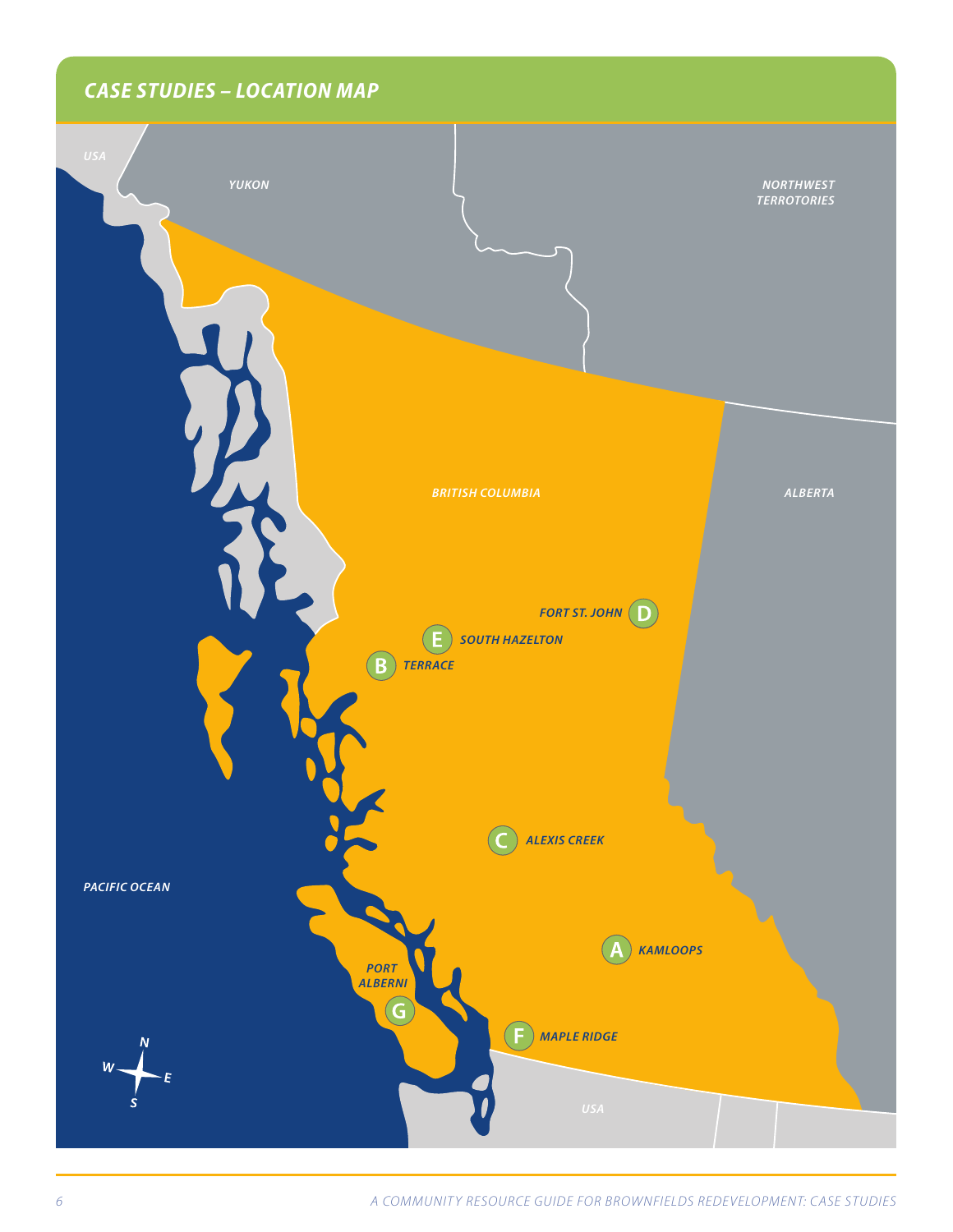# *CASE STUDIES – LOCATION MAP*

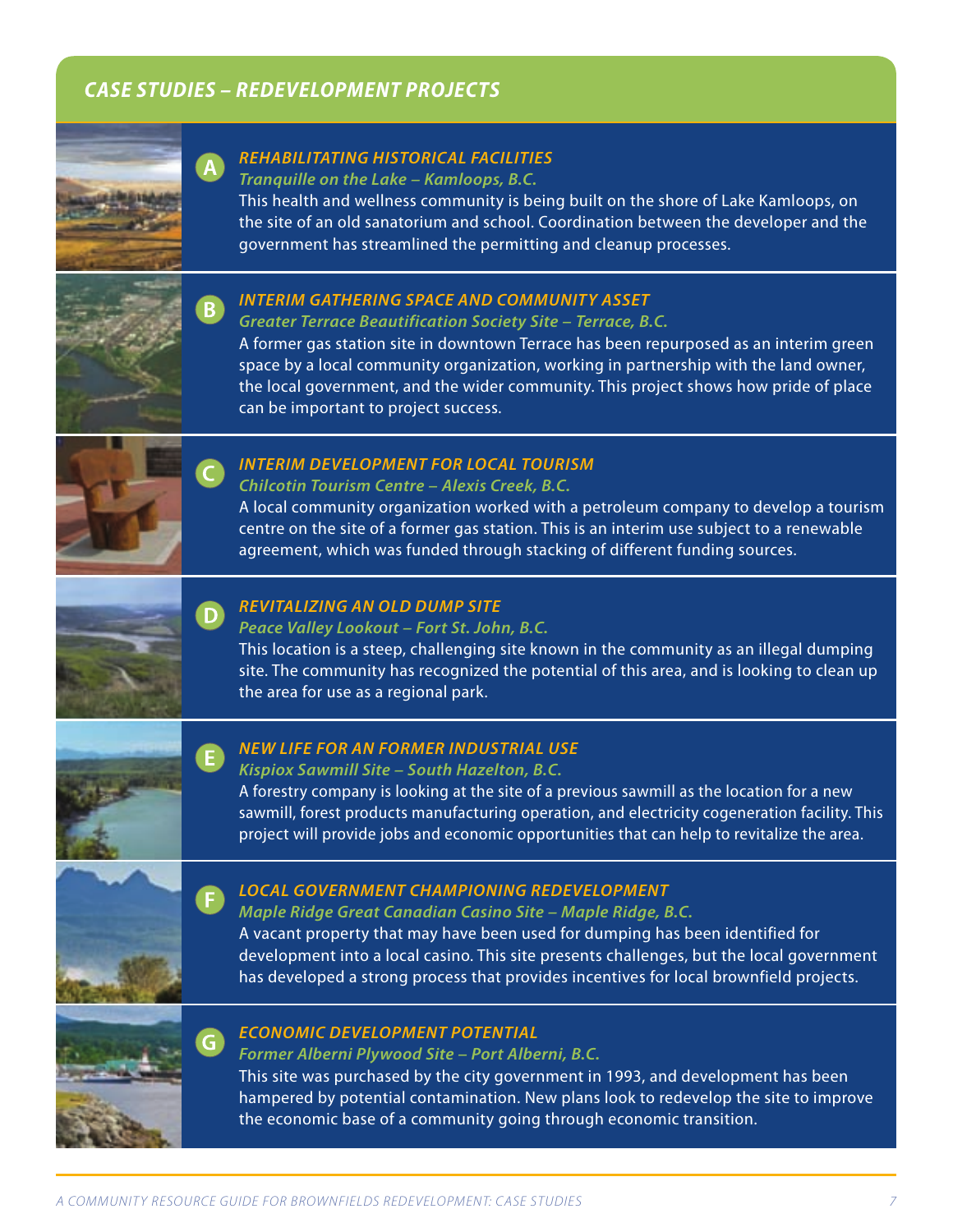# *CASE STUDIES – REDEVELOPMENT PROJECTS*



# *REHABILITATING HISTORICAL FACILITIES*

*Tranquille on the Lake – Kamloops, B.C.*

This health and wellness community is being built on the shore of Lake Kamloops, on the site of an old sanatorium and school. Coordination between the developer and the government has streamlined the permitting and cleanup processes.



# *INTERIM GATHERING SPACE AND COMMUNITY ASSET*

*Greater Terrace Beautification Society Site – Terrace, B.C.*

A former gas station site in downtown Terrace has been repurposed as an interim green space by a local community organization, working in partnership with the land owner, the local government, and the wider community. This project shows how pride of place can be important to project success.



#### *INTERIM DEVELOPMENT FOR LOCAL TOURISM*

*Chilcotin Tourism Centre – Alexis Creek, B.C.*

A local community organization worked with a petroleum company to develop a tourism centre on the site of a former gas station. This is an interim use subject to a renewable agreement, which was funded through stacking of different funding sources.



# *REVITALIZING AN OLD DUMP SITE*

*Peace Valley Lookout – Fort St. John, B.C.*

This location is a steep, challenging site known in the community as an illegal dumping site. The community has recognized the potential of this area, and is looking to clean up the area for use as a regional park.



# *NEW LIFE FOR AN FORMER INDUSTRIAL USE*

### *Kispiox Sawmill Site – South Hazelton, B.C.*

A forestry company is looking at the site of a previous sawmill as the location for a new sawmill, forest products manufacturing operation, and electricity cogeneration facility. This project will provide jobs and economic opportunities that can help to revitalize the area.



# *LOCAL GOVERNMENT CHAMPIONING REDEVELOPMENT*

*Maple Ridge Great Canadian Casino Site – Maple Ridge, B.C.*

A vacant property that may have been used for dumping has been identified for development into a local casino. This site presents challenges, but the local government has developed a strong process that provides incentives for local brownfield projects.



#### *ECONOMIC DEVELOPMENT POTENTIAL*

*Former Alberni Plywood Site – Port Alberni, B.C.*

This site was purchased by the city government in 1993, and development has been hampered by potential contamination. New plans look to redevelop the site to improve the economic base of a community going through economic transition.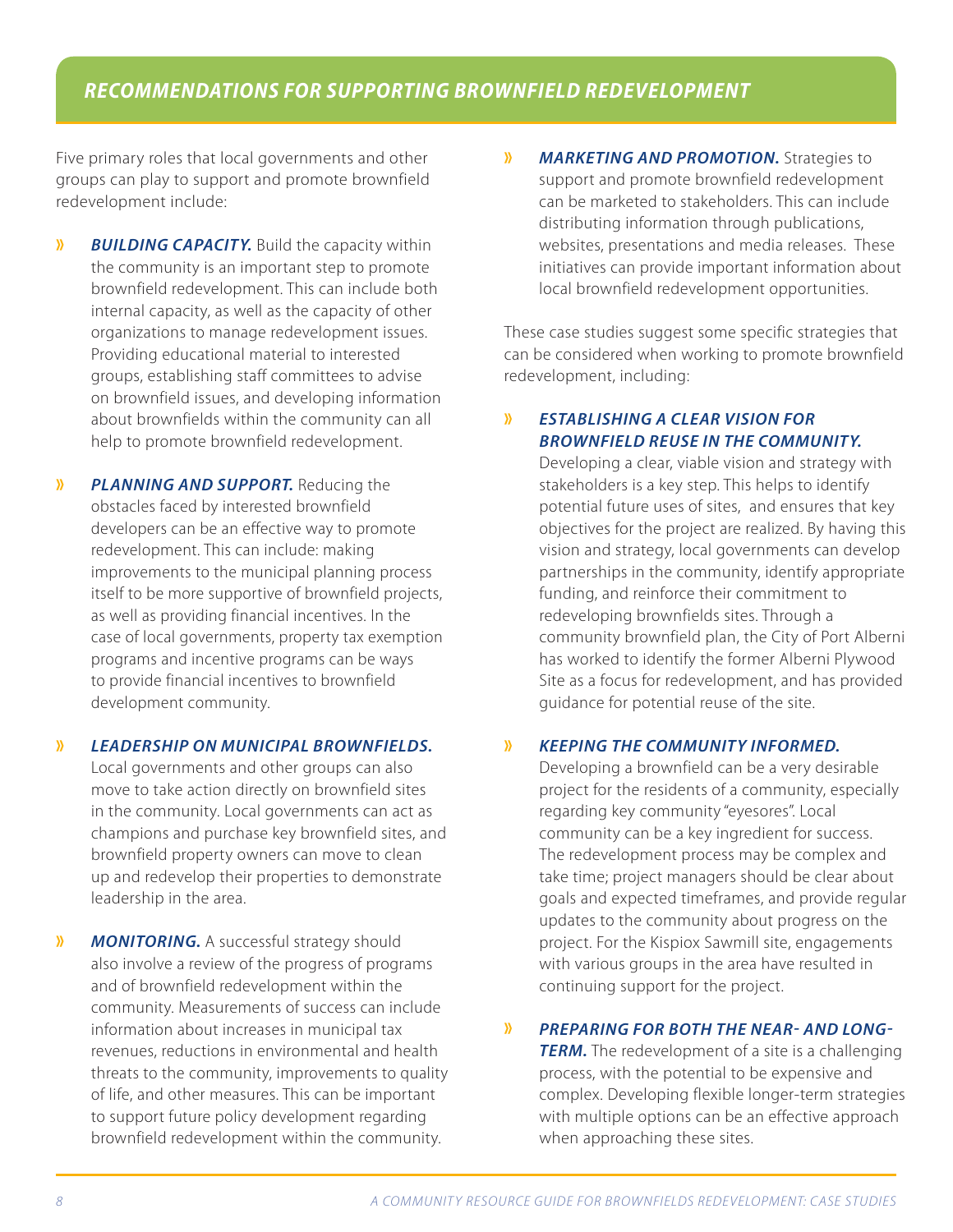# *RECOMMENDATIONS FOR SUPPORTING BROWNFIELD REDEVELOPMENT*

Five primary roles that local governments and other groups can play to support and promote brownfield redevelopment include:

- **»** *BUILDING CAPACITY.* Build the capacity within the community is an important step to promote brownfield redevelopment. This can include both internal capacity, as well as the capacity of other organizations to manage redevelopment issues. Providing educational material to interested groups, establishing staff committees to advise on brownfield issues, and developing information about brownfields within the community can all help to promote brownfield redevelopment.
- **»** *PLANNING AND SUPPORT.* Reducing the obstacles faced by interested brownfield developers can be an effective way to promote redevelopment. This can include: making improvements to the municipal planning process itself to be more supportive of brownfield projects, as well as providing financial incentives. In the case of local governments, property tax exemption programs and incentive programs can be ways to provide financial incentives to brownfield development community.
- **»** *LEADERSHIP ON MUNICIPAL BROWNFIELDS.*

Local governments and other groups can also move to take action directly on brownfield sites in the community. Local governments can act as champions and purchase key brownfield sites, and brownfield property owners can move to clean up and redevelop their properties to demonstrate leadership in the area.

**»** *MONITORING.* A successful strategy should also involve a review of the progress of programs and of brownfield redevelopment within the community. Measurements of success can include information about increases in municipal tax revenues, reductions in environmental and health threats to the community, improvements to quality of life, and other measures. This can be important to support future policy development regarding brownfield redevelopment within the community.

**»** *MARKETING AND PROMOTION.* Strategies to support and promote brownfield redevelopment can be marketed to stakeholders. This can include distributing information through publications, websites, presentations and media releases. These initiatives can provide important information about local brownfield redevelopment opportunities.

These case studies suggest some specific strategies that can be considered when working to promote brownfield redevelopment, including:

# **»** *ESTABLISHING A CLEAR VISION FOR BROWNFIELD REUSE IN THE COMMUNITY.*

Developing a clear, viable vision and strategy with stakeholders is a key step. This helps to identify potential future uses of sites, and ensures that key objectives for the project are realized. By having this vision and strategy, local governments can develop partnerships in the community, identify appropriate funding, and reinforce their commitment to redeveloping brownfields sites. Through a community brownfield plan, the City of Port Alberni has worked to identify the former Alberni Plywood Site as a focus for redevelopment, and has provided guidance for potential reuse of the site.

#### **»** *KEEPING THE COMMUNITY INFORMED.*

Developing a brownfield can be a very desirable project for the residents of a community, especially regarding key community "eyesores". Local community can be a key ingredient for success. The redevelopment process may be complex and take time; project managers should be clear about goals and expected timeframes, and provide regular updates to the community about progress on the project. For the Kispiox Sawmill site, engagements with various groups in the area have resulted in continuing support for the project.

#### **»** *PREPARING FOR BOTH THE NEAR- AND LONG-*

**TERM.** The redevelopment of a site is a challenging process, with the potential to be expensive and complex. Developing flexible longer-term strategies with multiple options can be an effective approach when approaching these sites.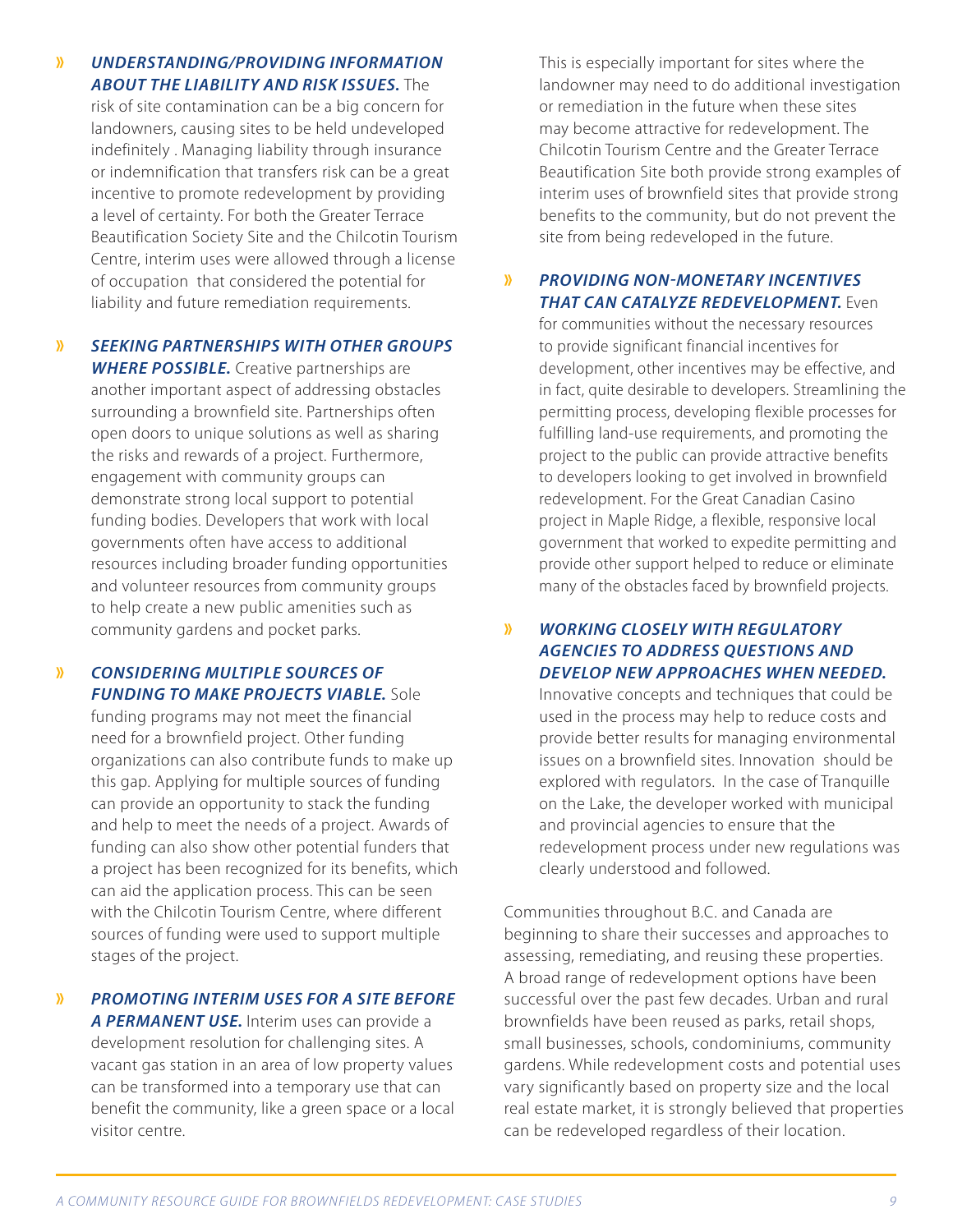# **»** *UNDERSTANDING/PROVIDING INFORMATION ABOUT THE LIABILITY AND RISK ISSUES.* The

risk of site contamination can be a big concern for landowners, causing sites to be held undeveloped indefinitely . Managing liability through insurance or indemnification that transfers risk can be a great incentive to promote redevelopment by providing a level of certainty. For both the Greater Terrace Beautification Society Site and the Chilcotin Tourism Centre, interim uses were allowed through a license of occupation that considered the potential for liability and future remediation requirements.

**»** *SEEKING PARTNERSHIPS WITH OTHER GROUPS WHERE POSSIBLE.* Creative partnerships are another important aspect of addressing obstacles surrounding a brownfield site. Partnerships often open doors to unique solutions as well as sharing the risks and rewards of a project. Furthermore, engagement with community groups can demonstrate strong local support to potential funding bodies. Developers that work with local governments often have access to additional resources including broader funding opportunities and volunteer resources from community groups to help create a new public amenities such as community gardens and pocket parks.

# **»** *CONSIDERING MULTIPLE SOURCES OF FUNDING TO MAKE PROJECTS VIABLE.* Sole

funding programs may not meet the financial need for a brownfield project. Other funding organizations can also contribute funds to make up this gap. Applying for multiple sources of funding can provide an opportunity to stack the funding and help to meet the needs of a project. Awards of funding can also show other potential funders that a project has been recognized for its benefits, which can aid the application process. This can be seen with the Chilcotin Tourism Centre, where different sources of funding were used to support multiple stages of the project.

# **»** *PROMOTING INTERIM USES FOR A SITE BEFORE*

*A PERMANENT USE.* Interim uses can provide a development resolution for challenging sites. A vacant gas station in an area of low property values can be transformed into a temporary use that can benefit the community, like a green space or a local visitor centre.

This is especially important for sites where the landowner may need to do additional investigation or remediation in the future when these sites may become attractive for redevelopment. The Chilcotin Tourism Centre and the Greater Terrace Beautification Site both provide strong examples of interim uses of brownfield sites that provide strong benefits to the community, but do not prevent the site from being redeveloped in the future.

#### **»** *PROVIDING NON-MONETARY INCENTIVES THAT CAN CATALYZE REDEVELOPMENT.* Even

for communities without the necessary resources to provide significant financial incentives for development, other incentives may be effective, and in fact, quite desirable to developers. Streamlining the permitting process, developing flexible processes for fulfilling land-use requirements, and promoting the project to the public can provide attractive benefits to developers looking to get involved in brownfield redevelopment. For the Great Canadian Casino project in Maple Ridge, a flexible, responsive local government that worked to expedite permitting and provide other support helped to reduce or eliminate many of the obstacles faced by brownfield projects.

# **»** *WORKING CLOSELY WITH REGULATORY AGENCIES TO ADDRESS QUESTIONS AND DEVELOP NEW APPROACHES WHEN NEEDED.*

Innovative concepts and techniques that could be used in the process may help to reduce costs and provide better results for managing environmental issues on a brownfield sites. Innovation should be explored with regulators. In the case of Tranquille on the Lake, the developer worked with municipal and provincial agencies to ensure that the redevelopment process under new regulations was clearly understood and followed.

Communities throughout B.C. and Canada are beginning to share their successes and approaches to assessing, remediating, and reusing these properties. A broad range of redevelopment options have been successful over the past few decades. Urban and rural brownfields have been reused as parks, retail shops, small businesses, schools, condominiums, community gardens. While redevelopment costs and potential uses vary significantly based on property size and the local real estate market, it is strongly believed that properties can be redeveloped regardless of their location.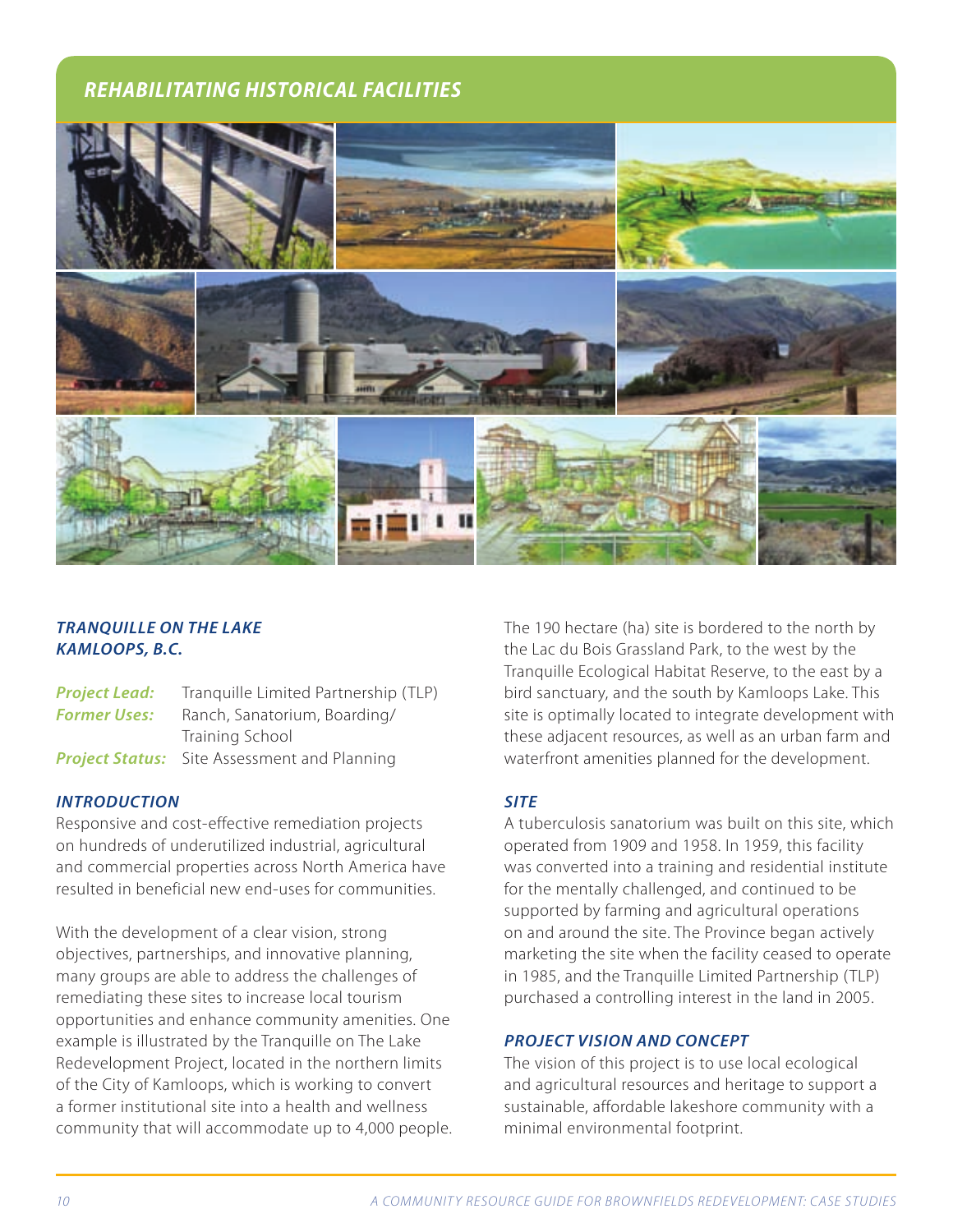# *REHABILITATING HISTORICAL FACILITIES*



# *TRANQUILLE ON THE LAKE KAMLOOPS, B.C.*

**Project Lead:** Tranquille Limited Partnership (TLP) **Former Uses:** Ranch, Sanatorium, Boarding/ Training School **Project Status:** Site Assessment and Planning

#### *INTRODUCTION*

Responsive and cost-effective remediation projects on hundreds of underutilized industrial, agricultural and commercial properties across North America have resulted in beneficial new end-uses for communities.

With the development of a clear vision, strong objectives, partnerships, and innovative planning, many groups are able to address the challenges of remediating these sites to increase local tourism opportunities and enhance community amenities. One example is illustrated by the Tranquille on The Lake Redevelopment Project, located in the northern limits of the City of Kamloops, which is working to convert a former institutional site into a health and wellness community that will accommodate up to 4,000 people. The 190 hectare (ha) site is bordered to the north by the Lac du Bois Grassland Park, to the west by the Tranquille Ecological Habitat Reserve, to the east by a bird sanctuary, and the south by Kamloops Lake. This site is optimally located to integrate development with these adjacent resources, as well as an urban farm and waterfront amenities planned for the development.

#### *SITE*

A tuberculosis sanatorium was built on this site, which operated from 1909 and 1958. In 1959, this facility was converted into a training and residential institute for the mentally challenged, and continued to be supported by farming and agricultural operations on and around the site. The Province began actively marketing the site when the facility ceased to operate in 1985, and the Tranquille Limited Partnership (TLP) purchased a controlling interest in the land in 2005.

#### *PROJECT VISION AND CONCEPT*

The vision of this project is to use local ecological and agricultural resources and heritage to support a sustainable, affordable lakeshore community with a minimal environmental footprint.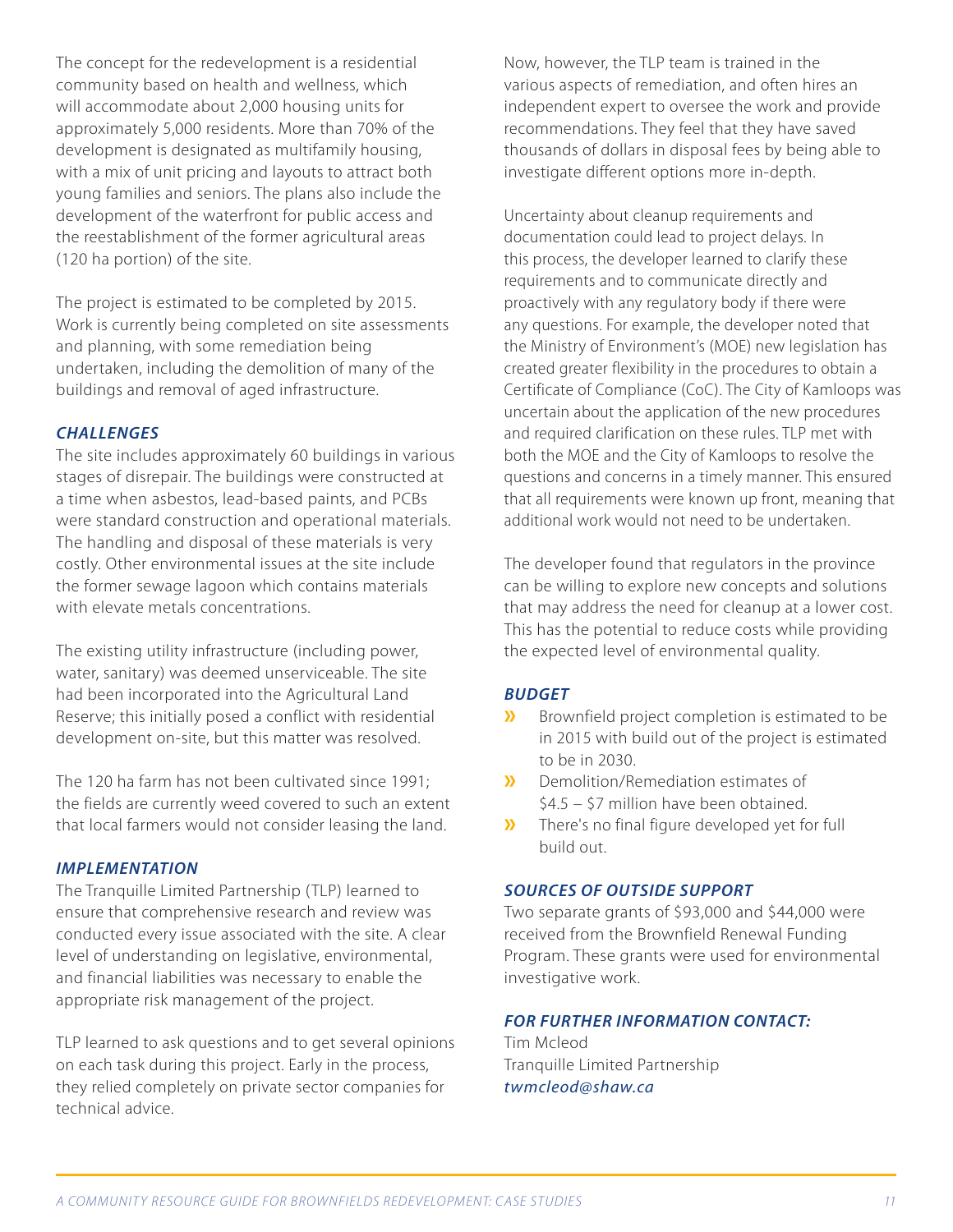The concept for the redevelopment is a residential community based on health and wellness, which will accommodate about 2,000 housing units for approximately 5,000 residents. More than 70% of the development is designated as multifamily housing, with a mix of unit pricing and layouts to attract both young families and seniors. The plans also include the development of the waterfront for public access and the reestablishment of the former agricultural areas (120 ha portion) of the site.

The project is estimated to be completed by 2015. Work is currently being completed on site assessments and planning, with some remediation being undertaken, including the demolition of many of the buildings and removal of aged infrastructure.

#### *CHALLENGES*

The site includes approximately 60 buildings in various stages of disrepair. The buildings were constructed at a time when asbestos, lead-based paints, and PCBs were standard construction and operational materials. The handling and disposal of these materials is very costly. Other environmental issues at the site include the former sewage lagoon which contains materials with elevate metals concentrations.

The existing utility infrastructure (including power, water, sanitary) was deemed unserviceable. The site had been incorporated into the Agricultural Land Reserve; this initially posed a conflict with residential development on-site, but this matter was resolved.

The 120 ha farm has not been cultivated since 1991; the fields are currently weed covered to such an extent that local farmers would not consider leasing the land.

#### *IMPLEMENTATION*

The Tranquille Limited Partnership (TLP) learned to ensure that comprehensive research and review was conducted every issue associated with the site. A clear level of understanding on legislative, environmental, and financial liabilities was necessary to enable the appropriate risk management of the project.

TLP learned to ask questions and to get several opinions on each task during this project. Early in the process, they relied completely on private sector companies for technical advice.

Now, however, the TLP team is trained in the various aspects of remediation, and often hires an independent expert to oversee the work and provide recommendations. They feel that they have saved thousands of dollars in disposal fees by being able to investigate different options more in-depth.

Uncertainty about cleanup requirements and documentation could lead to project delays. In this process, the developer learned to clarify these requirements and to communicate directly and proactively with any regulatory body if there were any questions. For example, the developer noted that the Ministry of Environment's (MOE) new legislation has created greater flexibility in the procedures to obtain a Certificate of Compliance (CoC). The City of Kamloops was uncertain about the application of the new procedures and required clarification on these rules. TLP met with both the MOE and the City of Kamloops to resolve the questions and concerns in a timely manner. This ensured that all requirements were known up front, meaning that additional work would not need to be undertaken.

The developer found that regulators in the province can be willing to explore new concepts and solutions that may address the need for cleanup at a lower cost. This has the potential to reduce costs while providing the expected level of environmental quality.

# *BUDGET*

- **»** Brownfield project completion is estimated to be in 2015 with build out of the project is estimated to be in 2030.
- **»** Demolition/Remediation estimates of \$4.5 – \$7 million have been obtained.
- **»** There's no final figure developed yet for full build out.

#### *SOURCES OF OUTSIDE SUPPORT*

Two separate grants of \$93,000 and \$44,000 were received from the Brownfield Renewal Funding Program. These grants were used for environmental investigative work.

# *FOR FURTHER INFORMATION CONTACT:*

Tim Mcleod Tranquille Limited Partnership *twmcleod@shaw.ca*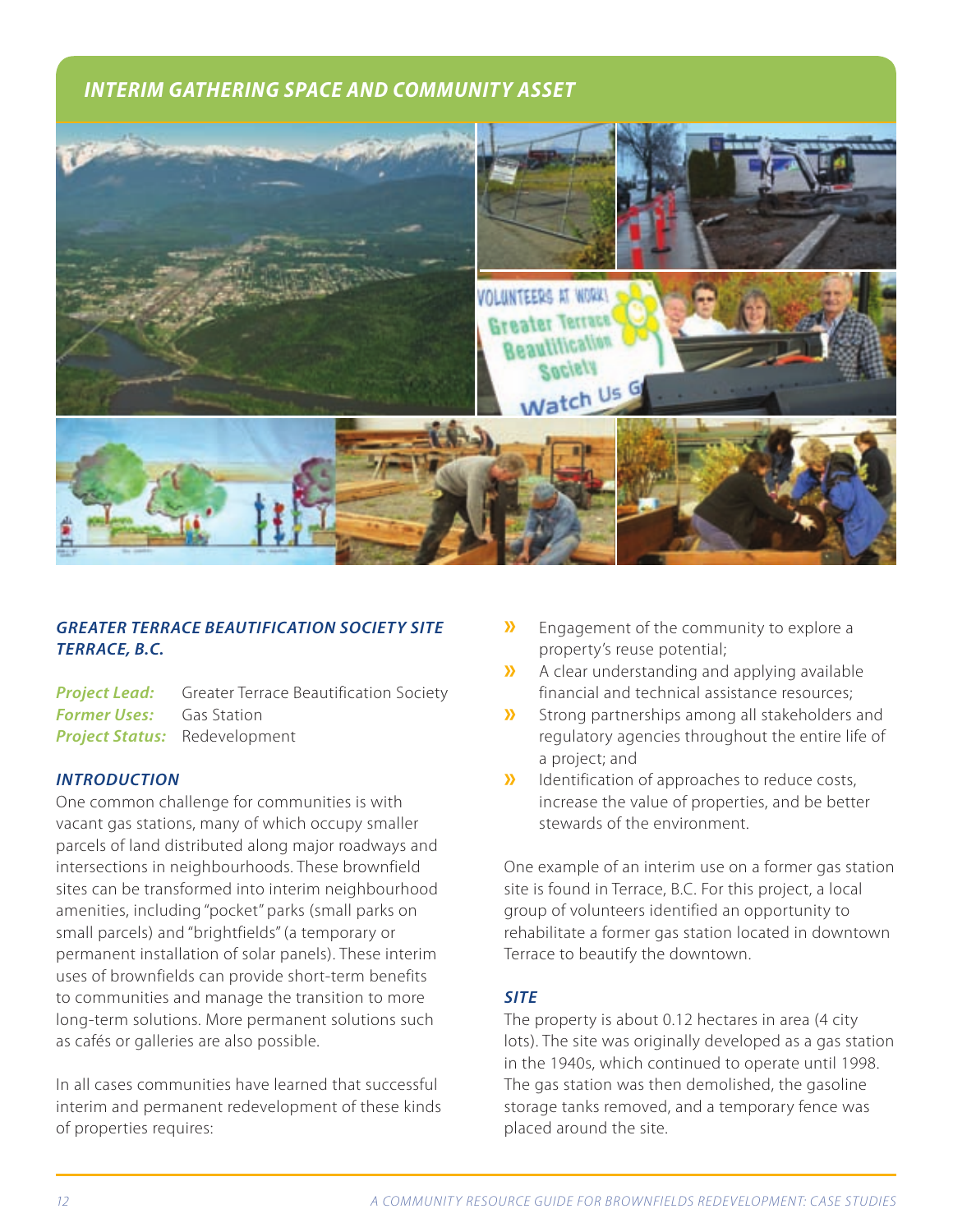# *INTERIM GATHERING SPACE AND COMMUNITY ASSET*



# *GREATER TERRACE BEAUTIFICATION SOCIETY SITE TERRACE, B.C.*

**Project Lead:** Greater Terrace Beautification Society **Former Uses:** Gas Station *Project Status:* Redevelopment

# *INTRODUCTION*

One common challenge for communities is with vacant gas stations, many of which occupy smaller parcels of land distributed along major roadways and intersections in neighbourhoods. These brownfield sites can be transformed into interim neighbourhood amenities, including "pocket" parks (small parks on small parcels) and "brightfields" (a temporary or permanent installation of solar panels). These interim uses of brownfields can provide short-term benefits to communities and manage the transition to more long-term solutions. More permanent solutions such as cafés or galleries are also possible.

In all cases communities have learned that successful interim and permanent redevelopment of these kinds of properties requires:

- **»** Engagement of the community to explore a property's reuse potential;
- **»** A clear understanding and applying available financial and technical assistance resources;
- **»** Strong partnerships among all stakeholders and regulatory agencies throughout the entire life of a project; and
- **»** Identification of approaches to reduce costs, increase the value of properties, and be better stewards of the environment.

One example of an interim use on a former gas station site is found in Terrace, B.C. For this project, a local group of volunteers identified an opportunity to rehabilitate a former gas station located in downtown Terrace to beautify the downtown.

# *SITE*

The property is about 0.12 hectares in area (4 city lots). The site was originally developed as a gas station in the 1940s, which continued to operate until 1998. The gas station was then demolished, the gasoline storage tanks removed, and a temporary fence was placed around the site.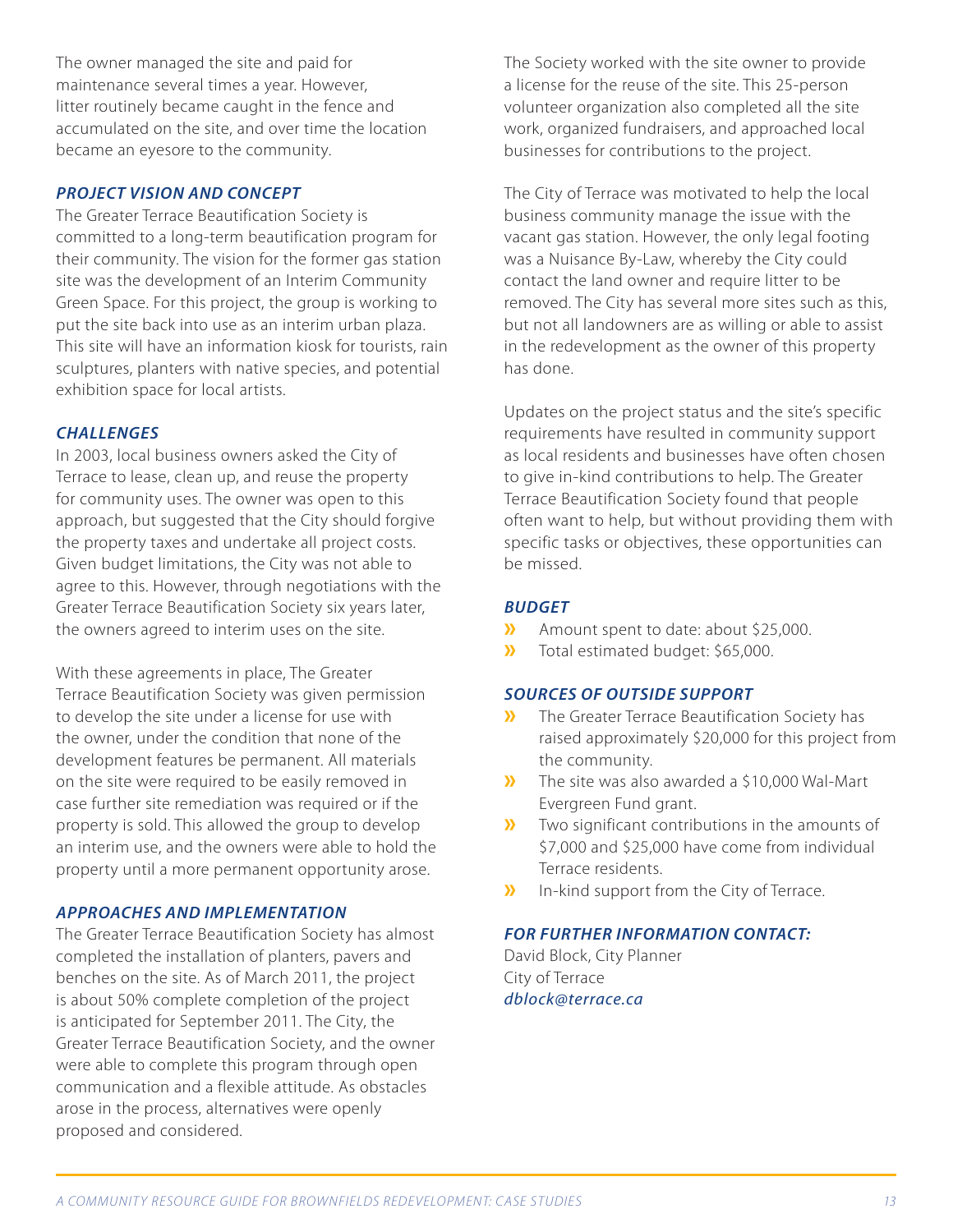The owner managed the site and paid for maintenance several times a year. However, litter routinely became caught in the fence and accumulated on the site, and over time the location became an eyesore to the community.

#### *PROJECT VISION AND CONCEPT*

The Greater Terrace Beautification Society is committed to a long-term beautification program for their community. The vision for the former gas station site was the development of an Interim Community Green Space. For this project, the group is working to put the site back into use as an interim urban plaza. This site will have an information kiosk for tourists, rain sculptures, planters with native species, and potential exhibition space for local artists.

#### *CHALLENGES*

In 2003, local business owners asked the City of Terrace to lease, clean up, and reuse the property for community uses. The owner was open to this approach, but suggested that the City should forgive the property taxes and undertake all project costs. Given budget limitations, the City was not able to agree to this. However, through negotiations with the Greater Terrace Beautification Society six years later, the owners agreed to interim uses on the site.

With these agreements in place, The Greater Terrace Beautification Society was given permission to develop the site under a license for use with the owner, under the condition that none of the development features be permanent. All materials on the site were required to be easily removed in case further site remediation was required or if the property is sold. This allowed the group to develop an interim use, and the owners were able to hold the property until a more permanent opportunity arose.

#### *APPROACHES AND IMPLEMENTATION*

The Greater Terrace Beautification Society has almost completed the installation of planters, pavers and benches on the site. As of March 2011, the project is about 50% complete completion of the project is anticipated for September 2011. The City, the Greater Terrace Beautification Society, and the owner were able to complete this program through open communication and a flexible attitude. As obstacles arose in the process, alternatives were openly proposed and considered.

The Society worked with the site owner to provide a license for the reuse of the site. This 25-person volunteer organization also completed all the site work, organized fundraisers, and approached local businesses for contributions to the project.

The City of Terrace was motivated to help the local business community manage the issue with the vacant gas station. However, the only legal footing was a Nuisance By-Law, whereby the City could contact the land owner and require litter to be removed. The City has several more sites such as this, but not all landowners are as willing or able to assist in the redevelopment as the owner of this property has done.

Updates on the project status and the site's specific requirements have resulted in community support as local residents and businesses have often chosen to give in-kind contributions to help. The Greater Terrace Beautification Society found that people often want to help, but without providing them with specific tasks or objectives, these opportunities can be missed.

# *BUDGET*

- **»** Amount spent to date: about \$25,000.
- **»** Total estimated budget: \$65,000.

#### *SOURCES OF OUTSIDE SUPPORT*

- **»** The Greater Terrace Beautification Society has raised approximately \$20,000 for this project from the community.
- **»** The site was also awarded a \$10,000 Wal-Mart Evergreen Fund grant.
- **»** Two significant contributions in the amounts of \$7,000 and \$25,000 have come from individual Terrace residents.
- **»** In-kind support from the City of Terrace.

# *FOR FURTHER INFORMATION CONTACT:*

David Block, City Planner City of Terrace *dblock@terrace.ca*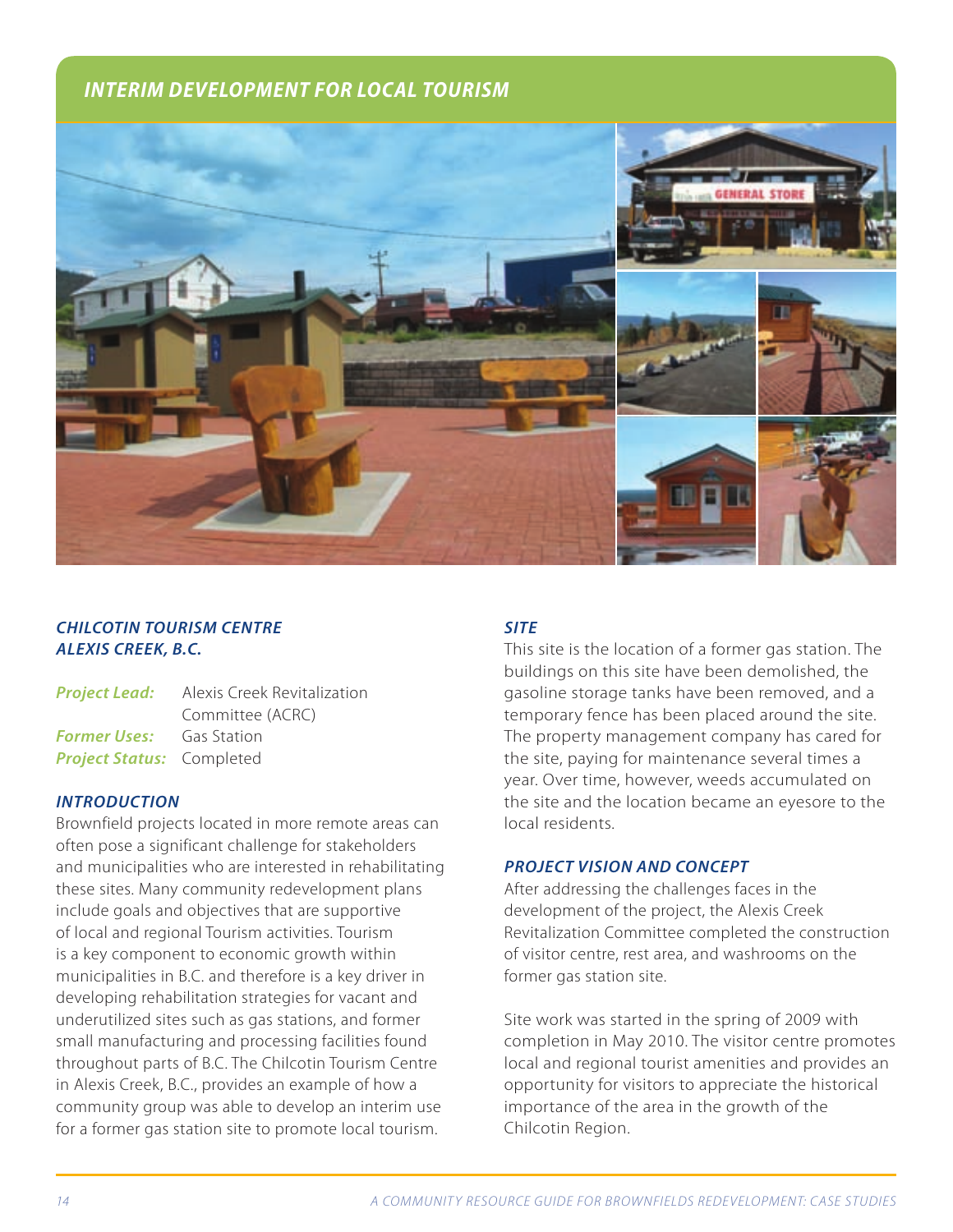# *INTERIM DEVELOPMENT FOR LOCAL TOURISM*



# *CHILCOTIN TOURISM CENTRE ALEXIS CREEK, B.C.*

|                                  | <b>Project Lead:</b> Alexis Creek Revitalization |
|----------------------------------|--------------------------------------------------|
|                                  | Committee (ACRC)                                 |
| <b>Former Uses:</b> Gas Station  |                                                  |
| <b>Project Status: Completed</b> |                                                  |

#### *INTRODUCTION*

Brownfield projects located in more remote areas can often pose a significant challenge for stakeholders and municipalities who are interested in rehabilitating these sites. Many community redevelopment plans include goals and objectives that are supportive of local and regional Tourism activities. Tourism is a key component to economic growth within municipalities in B.C. and therefore is a key driver in developing rehabilitation strategies for vacant and underutilized sites such as gas stations, and former small manufacturing and processing facilities found throughout parts of B.C. The Chilcotin Tourism Centre in Alexis Creek, B.C., provides an example of how a community group was able to develop an interim use for a former gas station site to promote local tourism.

# *SITE*

This site is the location of a former gas station. The buildings on this site have been demolished, the gasoline storage tanks have been removed, and a temporary fence has been placed around the site. The property management company has cared for the site, paying for maintenance several times a year. Over time, however, weeds accumulated on the site and the location became an eyesore to the local residents.

#### *PROJECT VISION AND CONCEPT*

After addressing the challenges faces in the development of the project, the Alexis Creek Revitalization Committee completed the construction of visitor centre, rest area, and washrooms on the former gas station site.

Site work was started in the spring of 2009 with completion in May 2010. The visitor centre promotes local and regional tourist amenities and provides an opportunity for visitors to appreciate the historical importance of the area in the growth of the Chilcotin Region.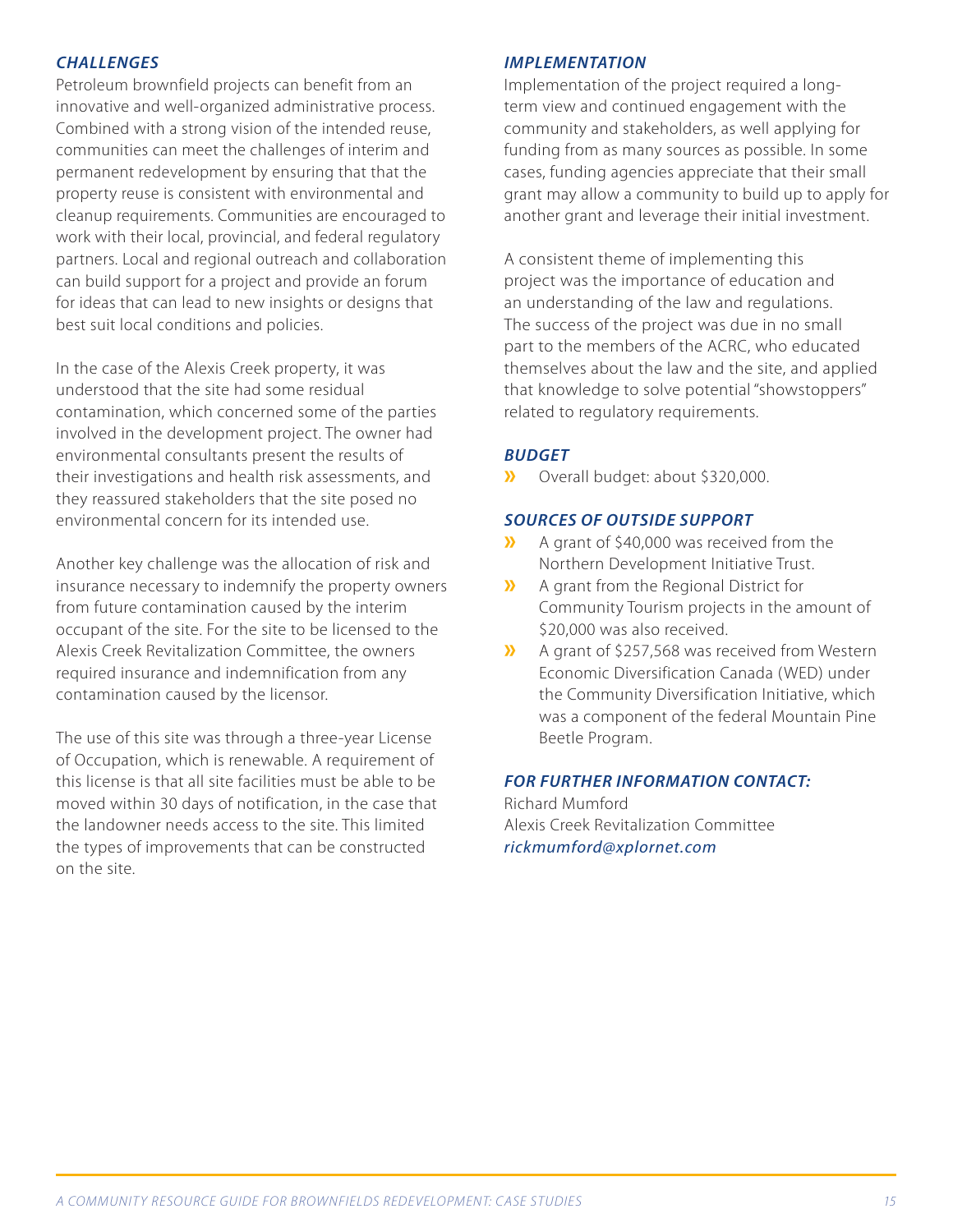### *CHALLENGES*

Petroleum brownfield projects can benefit from an innovative and well-organized administrative process. Combined with a strong vision of the intended reuse, communities can meet the challenges of interim and permanent redevelopment by ensuring that that the property reuse is consistent with environmental and cleanup requirements. Communities are encouraged to work with their local, provincial, and federal regulatory partners. Local and regional outreach and collaboration can build support for a project and provide an forum for ideas that can lead to new insights or designs that best suit local conditions and policies.

In the case of the Alexis Creek property, it was understood that the site had some residual contamination, which concerned some of the parties involved in the development project. The owner had environmental consultants present the results of their investigations and health risk assessments, and they reassured stakeholders that the site posed no environmental concern for its intended use.

Another key challenge was the allocation of risk and insurance necessary to indemnify the property owners from future contamination caused by the interim occupant of the site. For the site to be licensed to the Alexis Creek Revitalization Committee, the owners required insurance and indemnification from any contamination caused by the licensor.

The use of this site was through a three-year License of Occupation, which is renewable. A requirement of this license is that all site facilities must be able to be moved within 30 days of notification, in the case that the landowner needs access to the site. This limited the types of improvements that can be constructed on the site.

#### *IMPLEMENTATION*

Implementation of the project required a longterm view and continued engagement with the community and stakeholders, as well applying for funding from as many sources as possible. In some cases, funding agencies appreciate that their small grant may allow a community to build up to apply for another grant and leverage their initial investment.

A consistent theme of implementing this project was the importance of education and an understanding of the law and regulations. The success of the project was due in no small part to the members of the ACRC, who educated themselves about the law and the site, and applied that knowledge to solve potential "showstoppers" related to regulatory requirements.

#### *BUDGET*

**»** Overall budget: about \$320,000.

#### *SOURCES OF OUTSIDE SUPPORT*

- **»** A grant of \$40,000 was received from the Northern Development Initiative Trust.
- **»** A grant from the Regional District for Community Tourism projects in the amount of \$20,000 was also received.
- **»** A grant of \$257,568 was received from Western Economic Diversification Canada (WED) under the Community Diversification Initiative, which was a component of the federal Mountain Pine Beetle Program.

#### *FOR FURTHER INFORMATION CONTACT:*

Richard Mumford Alexis Creek Revitalization Committee *rickmumford@xplornet.com*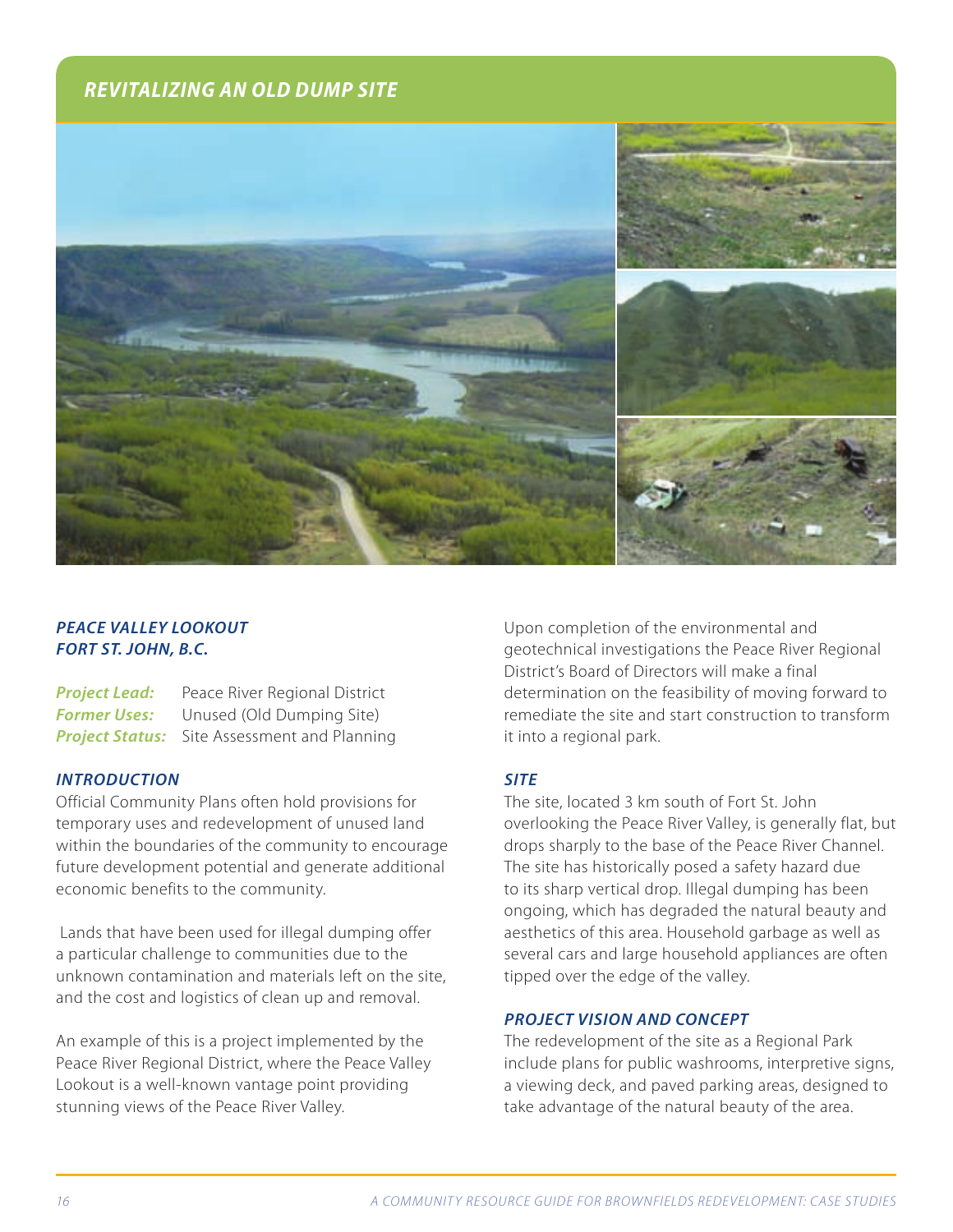# *REVITALIZING AN OLD DUMP SITE*



# *PEACE VALLEY LOOKOUT FORT ST. JOHN, B.C.*

**Project Lead:** Peace River Regional District **Former Uses:** Unused (Old Dumping Site) **Project Status:** Site Assessment and Planning

#### *INTRODUCTION*

Official Community Plans often hold provisions for temporary uses and redevelopment of unused land within the boundaries of the community to encourage future development potential and generate additional economic benefits to the community.

 Lands that have been used for illegal dumping offer a particular challenge to communities due to the unknown contamination and materials left on the site, and the cost and logistics of clean up and removal.

An example of this is a project implemented by the Peace River Regional District, where the Peace Valley Lookout is a well-known vantage point providing stunning views of the Peace River Valley.

Upon completion of the environmental and geotechnical investigations the Peace River Regional District's Board of Directors will make a final determination on the feasibility of moving forward to remediate the site and start construction to transform it into a regional park.

#### *SITE*

The site, located 3 km south of Fort St. John overlooking the Peace River Valley, is generally flat, but drops sharply to the base of the Peace River Channel. The site has historically posed a safety hazard due to its sharp vertical drop. Illegal dumping has been ongoing, which has degraded the natural beauty and aesthetics of this area. Household garbage as well as several cars and large household appliances are often tipped over the edge of the valley.

# *PROJECT VISION AND CONCEPT*

The redevelopment of the site as a Regional Park include plans for public washrooms, interpretive signs, a viewing deck, and paved parking areas, designed to take advantage of the natural beauty of the area.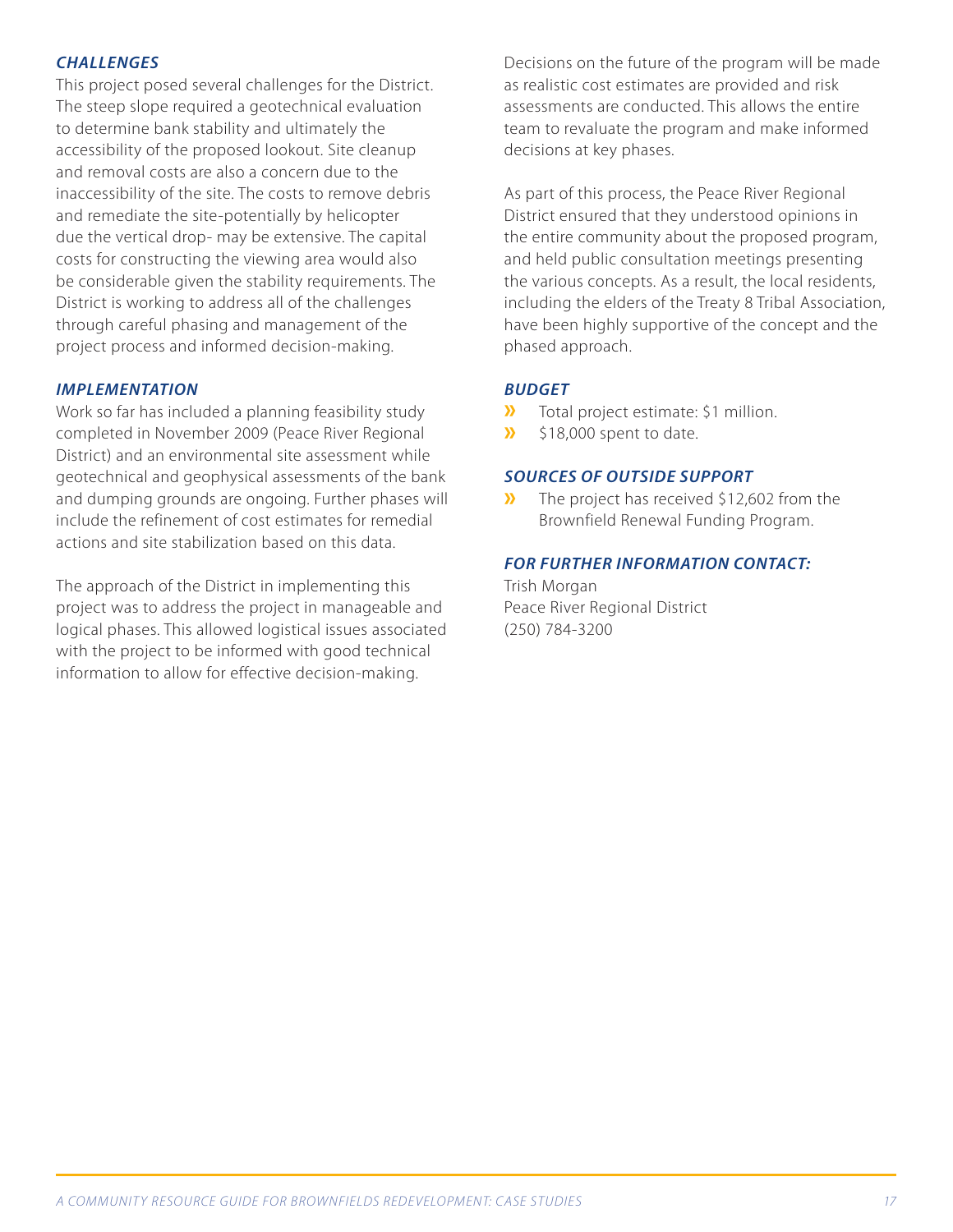## *CHALLENGES*

This project posed several challenges for the District. The steep slope required a geotechnical evaluation to determine bank stability and ultimately the accessibility of the proposed lookout. Site cleanup and removal costs are also a concern due to the inaccessibility of the site. The costs to remove debris and remediate the site-potentially by helicopter due the vertical drop- may be extensive. The capital costs for constructing the viewing area would also be considerable given the stability requirements. The District is working to address all of the challenges through careful phasing and management of the project process and informed decision-making.

#### *IMPLEMENTATION*

Work so far has included a planning feasibility study completed in November 2009 (Peace River Regional District) and an environmental site assessment while geotechnical and geophysical assessments of the bank and dumping grounds are ongoing. Further phases will include the refinement of cost estimates for remedial actions and site stabilization based on this data.

The approach of the District in implementing this project was to address the project in manageable and logical phases. This allowed logistical issues associated with the project to be informed with good technical information to allow for effective decision-making.

Decisions on the future of the program will be made as realistic cost estimates are provided and risk assessments are conducted. This allows the entire team to revaluate the program and make informed decisions at key phases.

As part of this process, the Peace River Regional District ensured that they understood opinions in the entire community about the proposed program, and held public consultation meetings presenting the various concepts. As a result, the local residents, including the elders of the Treaty 8 Tribal Association, have been highly supportive of the concept and the phased approach.

#### *BUDGET*

- **»** Total project estimate: \$1 million.
- **»** \$18,000 spent to date.

#### *SOURCES OF OUTSIDE SUPPORT*

**»** The project has received \$12,602 from the Brownfield Renewal Funding Program.

#### *FOR FURTHER INFORMATION CONTACT:*

Trish Morgan Peace River Regional District (250) 784-3200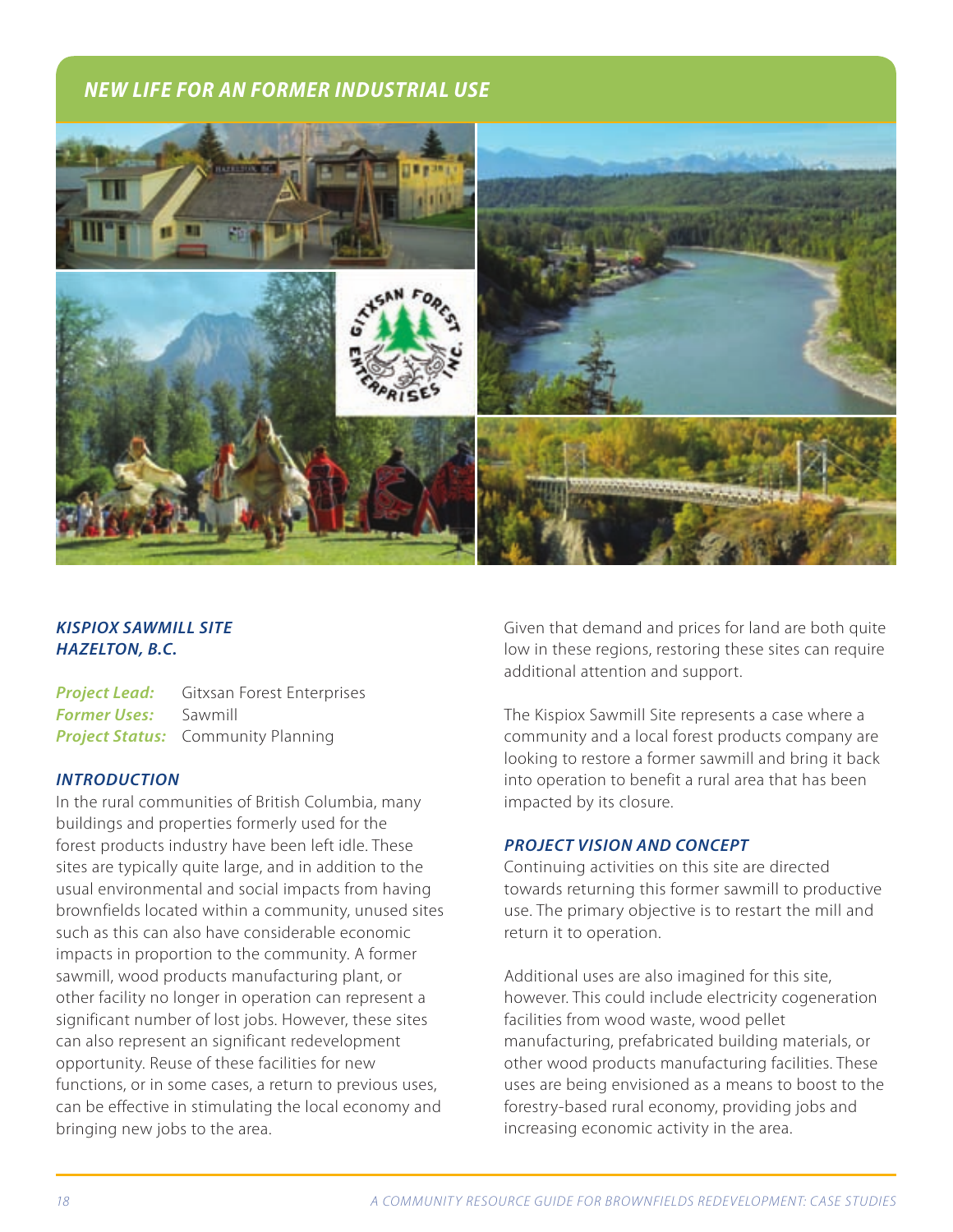# *NEW LIFE FOR AN FORMER INDUSTRIAL USE*



# *KISPIOX SAWMILL SITE HAZELTON, B.C.*

*Project Lead:* Gitxsan Forest Enterprises *Former Uses:* Sawmill *Project Status:* Community Planning

#### *INTRODUCTION*

In the rural communities of British Columbia, many buildings and properties formerly used for the forest products industry have been left idle. These sites are typically quite large, and in addition to the usual environmental and social impacts from having brownfields located within a community, unused sites such as this can also have considerable economic impacts in proportion to the community. A former sawmill, wood products manufacturing plant, or other facility no longer in operation can represent a significant number of lost jobs. However, these sites can also represent an significant redevelopment opportunity. Reuse of these facilities for new functions, or in some cases, a return to previous uses, can be effective in stimulating the local economy and bringing new jobs to the area.

Given that demand and prices for land are both quite low in these regions, restoring these sites can require additional attention and support.

The Kispiox Sawmill Site represents a case where a community and a local forest products company are looking to restore a former sawmill and bring it back into operation to benefit a rural area that has been impacted by its closure.

#### *PROJECT VISION AND CONCEPT*

Continuing activities on this site are directed towards returning this former sawmill to productive use. The primary objective is to restart the mill and return it to operation.

Additional uses are also imagined for this site, however. This could include electricity cogeneration facilities from wood waste, wood pellet manufacturing, prefabricated building materials, or other wood products manufacturing facilities. These uses are being envisioned as a means to boost to the forestry-based rural economy, providing jobs and increasing economic activity in the area.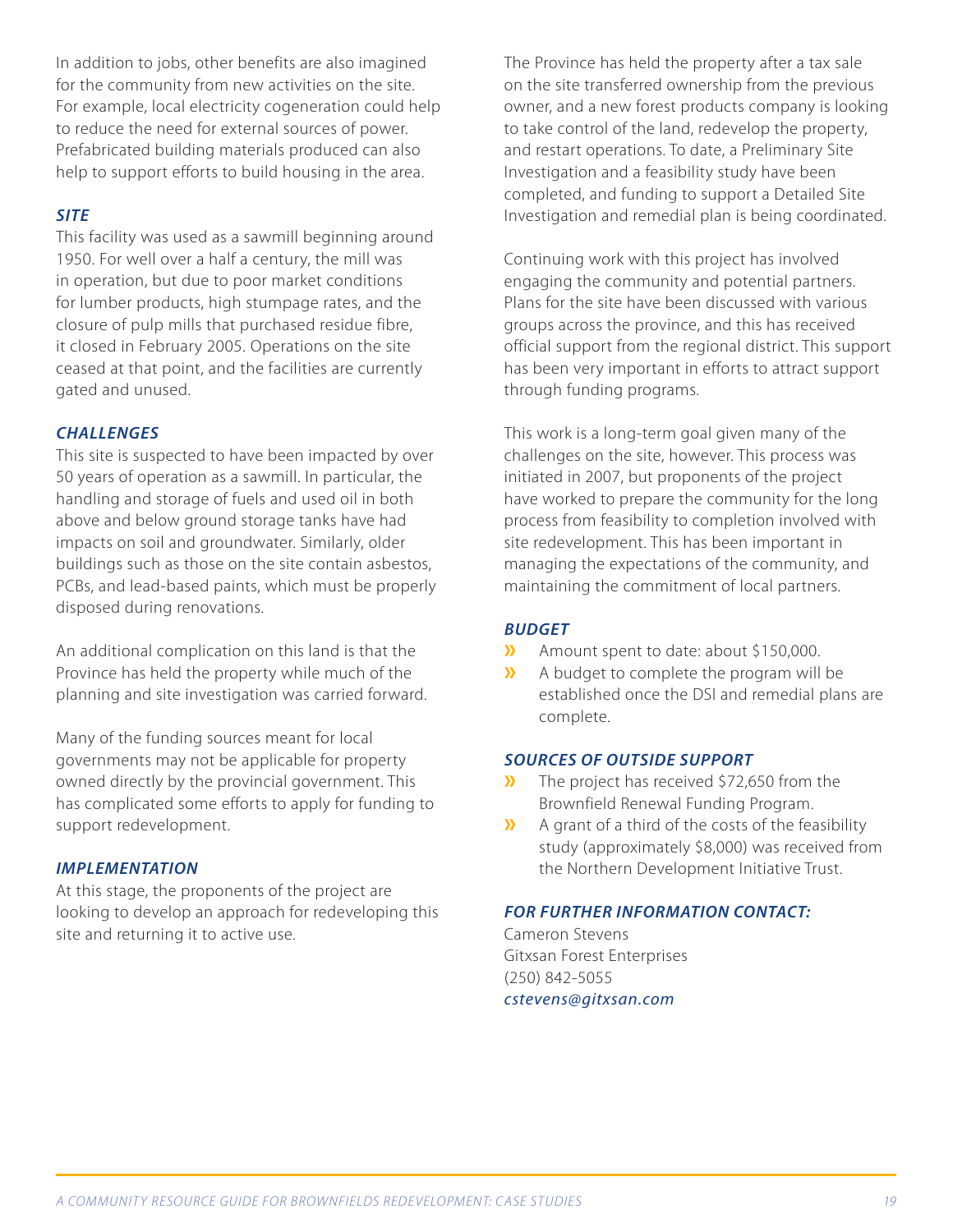In addition to jobs, other benefits are also imagined for the community from new activities on the site. For example, local electricity cogeneration could help to reduce the need for external sources of power. Prefabricated building materials produced can also help to support efforts to build housing in the area.

#### *SITE*

This facility was used as a sawmill beginning around 1950. For well over a half a century, the mill was in operation, but due to poor market conditions for lumber products, high stumpage rates, and the closure of pulp mills that purchased residue fibre, it closed in February 2005. Operations on the site ceased at that point, and the facilities are currently gated and unused.

# *CHALLENGES*

This site is suspected to have been impacted by over 50 years of operation as a sawmill. In particular, the handling and storage of fuels and used oil in both above and below ground storage tanks have had impacts on soil and groundwater. Similarly, older buildings such as those on the site contain asbestos, PCBs, and lead-based paints, which must be properly disposed during renovations.

An additional complication on this land is that the Province has held the property while much of the planning and site investigation was carried forward.

Many of the funding sources meant for local governments may not be applicable for property owned directly by the provincial government. This has complicated some efforts to apply for funding to support redevelopment.

# *IMPLEMENTATION*

At this stage, the proponents of the project are looking to develop an approach for redeveloping this site and returning it to active use.

The Province has held the property after a tax sale on the site transferred ownership from the previous owner, and a new forest products company is looking to take control of the land, redevelop the property, and restart operations. To date, a Preliminary Site Investigation and a feasibility study have been completed, and funding to support a Detailed Site Investigation and remedial plan is being coordinated.

Continuing work with this project has involved engaging the community and potential partners. Plans for the site have been discussed with various groups across the province, and this has received official support from the regional district. This support has been very important in efforts to attract support through funding programs.

This work is a long-term goal given many of the challenges on the site, however. This process was initiated in 2007, but proponents of the project have worked to prepare the community for the long process from feasibility to completion involved with site redevelopment. This has been important in managing the expectations of the community, and maintaining the commitment of local partners.

# *BUDGET*

- **»** Amount spent to date: about \$150,000.
- **»** A budget to complete the program will be established once the DSI and remedial plans are complete.

#### *SOURCES OF OUTSIDE SUPPORT*

- **»** The project has received \$72,650 from the Brownfield Renewal Funding Program.
- **»** A grant of a third of the costs of the feasibility study (approximately \$8,000) was received from the Northern Development Initiative Trust.

# *FOR FURTHER INFORMATION CONTACT:*

Cameron Stevens Gitxsan Forest Enterprises (250) 842-5055 *cstevens@gitxsan.com*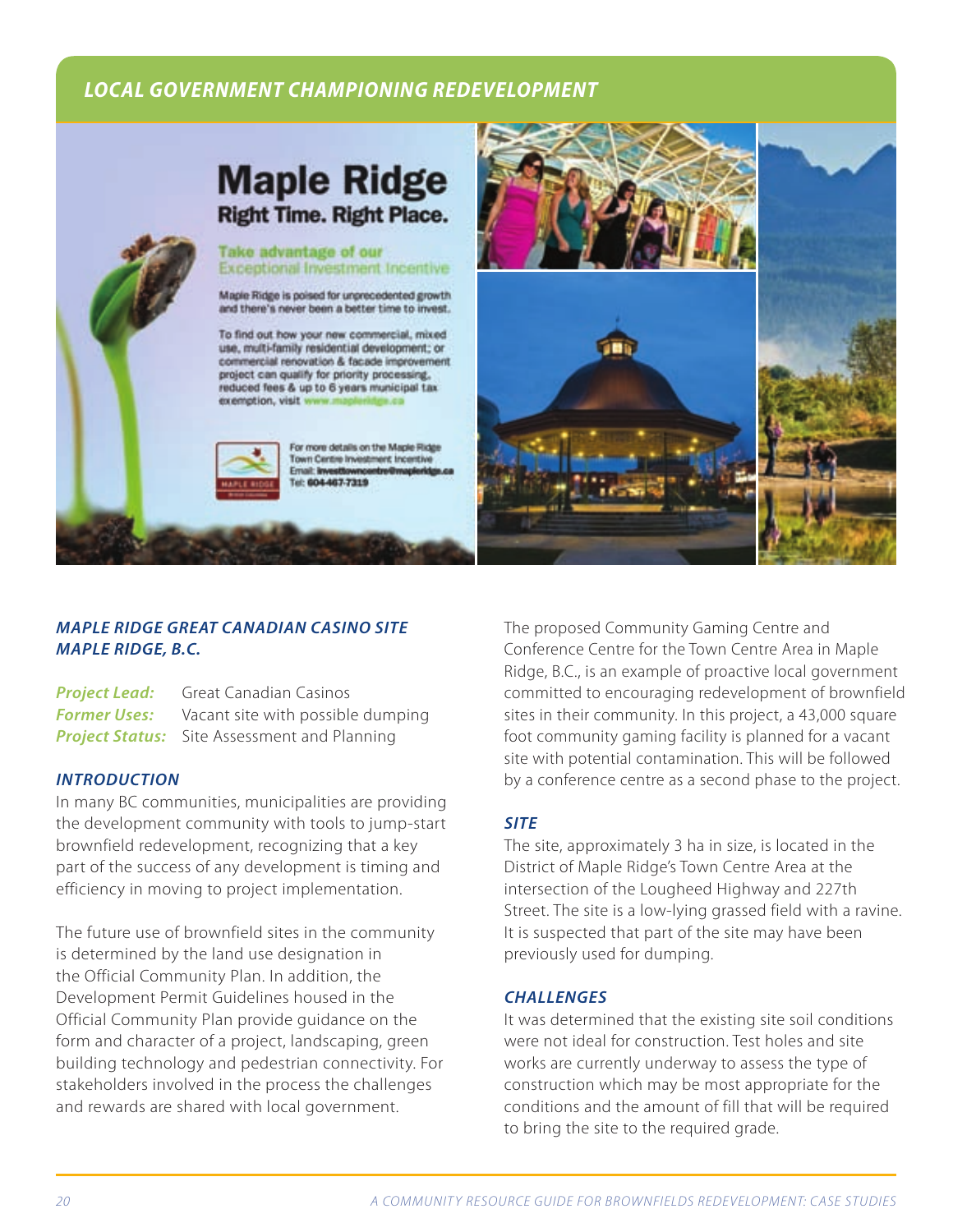# *LOCAL GOVERNMENT CHAMPIONING REDEVELOPMENT*





# *MAPLE RIDGE GREAT CANADIAN CASINO SITE MAPLE RIDGE, B.C.*

**Project Lead:** Great Canadian Casinos **Former Uses:** Vacant site with possible dumping **Project Status:** Site Assessment and Planning

#### *INTRODUCTION*

In many BC communities, municipalities are providing the development community with tools to jump-start brownfield redevelopment, recognizing that a key part of the success of any development is timing and efficiency in moving to project implementation.

The future use of brownfield sites in the community is determined by the land use designation in the Official Community Plan. In addition, the Development Permit Guidelines housed in the Official Community Plan provide guidance on the form and character of a project, landscaping, green building technology and pedestrian connectivity. For stakeholders involved in the process the challenges and rewards are shared with local government.

The proposed Community Gaming Centre and Conference Centre for the Town Centre Area in Maple Ridge, B.C., is an example of proactive local government committed to encouraging redevelopment of brownfield sites in their community. In this project, a 43,000 square foot community gaming facility is planned for a vacant site with potential contamination. This will be followed by a conference centre as a second phase to the project.

# *SITE*

The site, approximately 3 ha in size, is located in the District of Maple Ridge's Town Centre Area at the intersection of the Lougheed Highway and 227th Street. The site is a low-lying grassed field with a ravine. It is suspected that part of the site may have been previously used for dumping.

# *CHALLENGES*

It was determined that the existing site soil conditions were not ideal for construction. Test holes and site works are currently underway to assess the type of construction which may be most appropriate for the conditions and the amount of fill that will be required to bring the site to the required grade.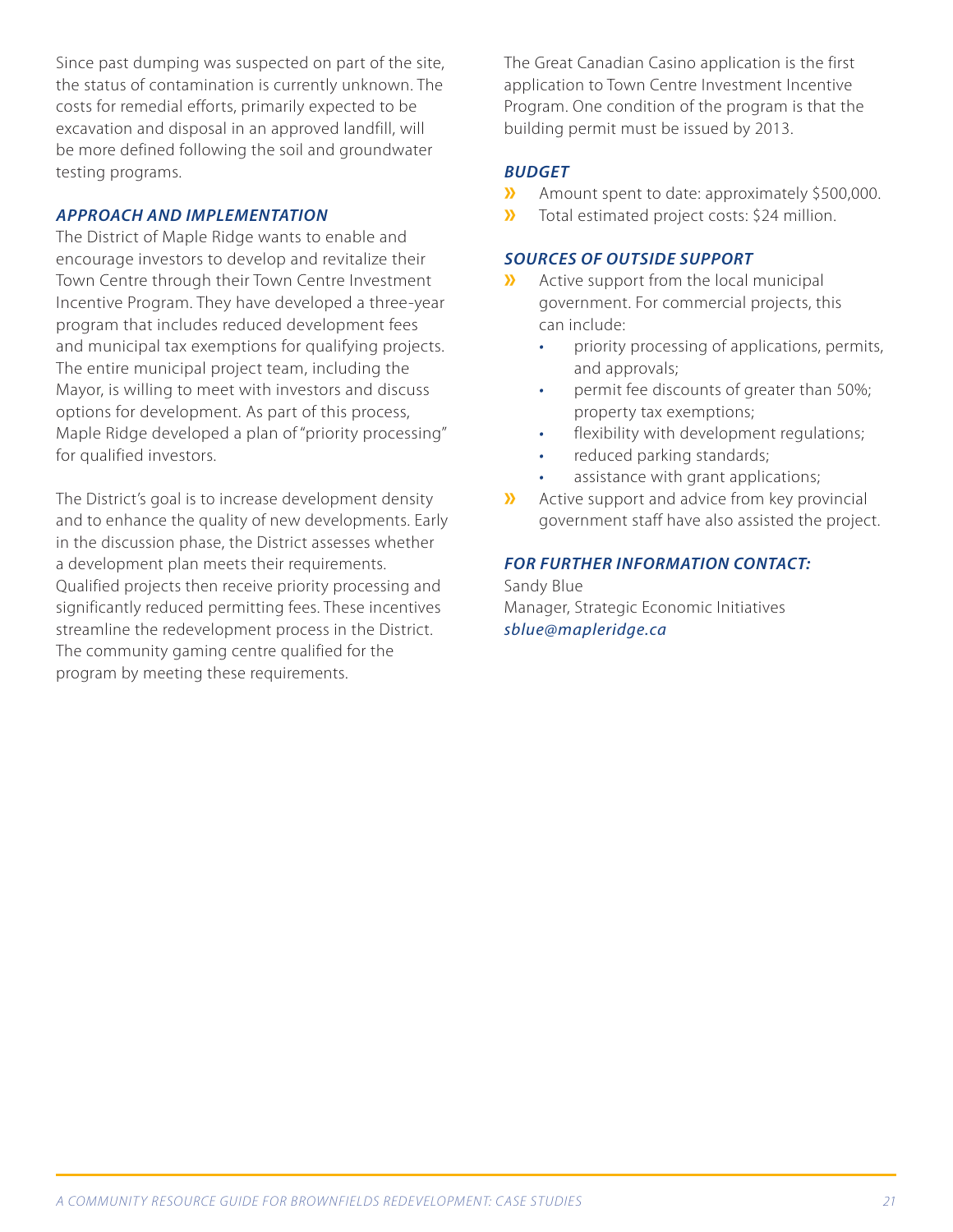Since past dumping was suspected on part of the site, the status of contamination is currently unknown. The costs for remedial efforts, primarily expected to be excavation and disposal in an approved landfill, will be more defined following the soil and groundwater testing programs.

#### *APPROACH AND IMPLEMENTATION*

The District of Maple Ridge wants to enable and encourage investors to develop and revitalize their Town Centre through their Town Centre Investment Incentive Program. They have developed a three-year program that includes reduced development fees and municipal tax exemptions for qualifying projects. The entire municipal project team, including the Mayor, is willing to meet with investors and discuss options for development. As part of this process, Maple Ridge developed a plan of "priority processing" for qualified investors.

The District's goal is to increase development density and to enhance the quality of new developments. Early in the discussion phase, the District assesses whether a development plan meets their requirements. Qualified projects then receive priority processing and significantly reduced permitting fees. These incentives streamline the redevelopment process in the District. The community gaming centre qualified for the program by meeting these requirements.

The Great Canadian Casino application is the first application to Town Centre Investment Incentive Program. One condition of the program is that the building permit must be issued by 2013.

#### *BUDGET*

- **»** Amount spent to date: approximately \$500,000.<br>**»** Total estimated project costs: \$24 million.
- **»** Total estimated project costs: \$24 million.

## *SOURCES OF OUTSIDE SUPPORT*

- **»** Active support from the local municipal government. For commercial projects, this can include:
	- priority processing of applications, permits, and approvals;
	- *·* permit fee discounts of greater than 50%; property tax exemptions;
	- flexibility with development regulations;
	- *·* reduced parking standards;
	- *·* assistance with grant applications;
- **»** Active support and advice from key provincial government staff have also assisted the project.

#### *FOR FURTHER INFORMATION CONTACT:*

Sandy Blue Manager, Strategic Economic Initiatives *sblue@mapleridge.ca*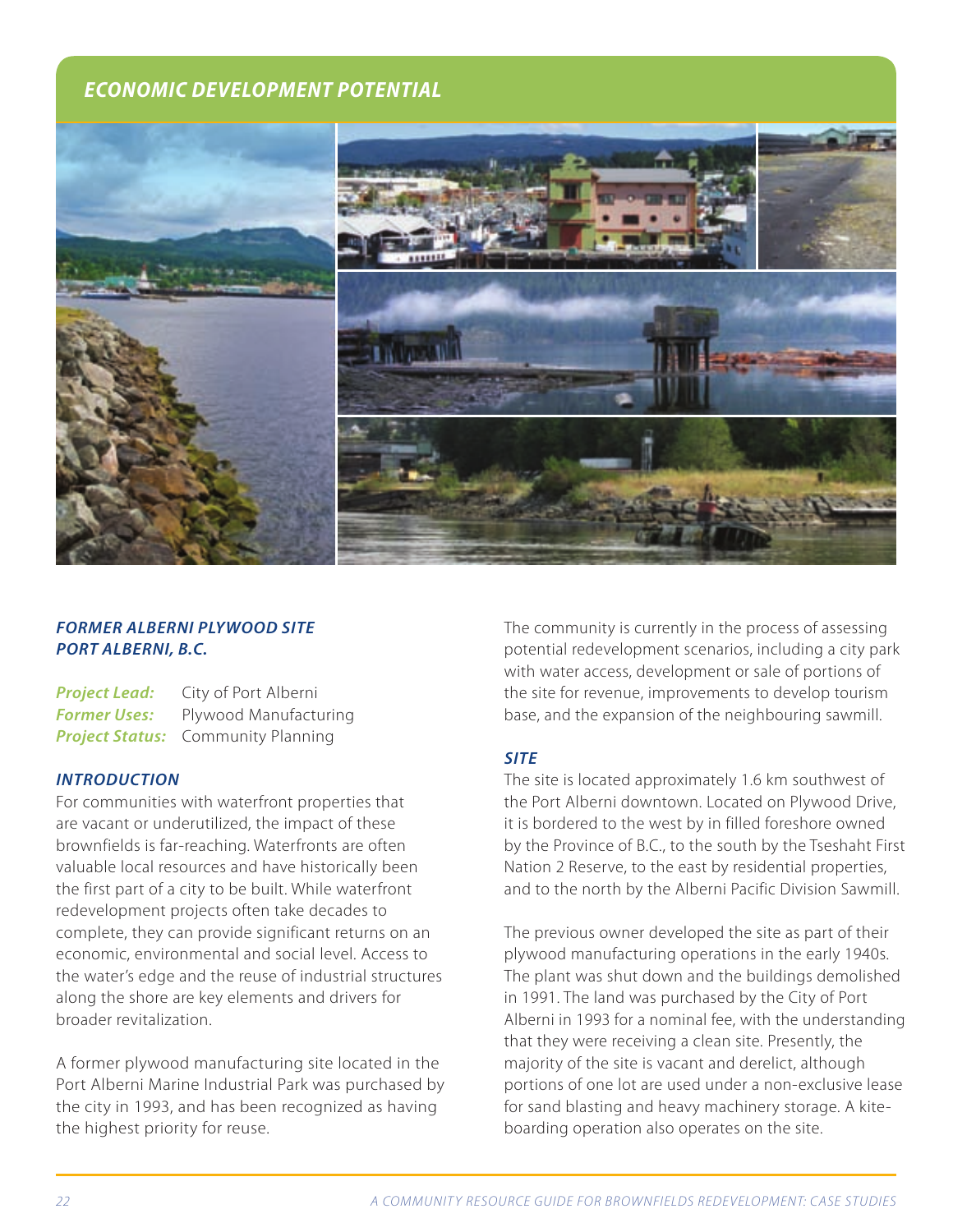# *ECONOMIC DEVELOPMENT POTENTIAL*



# *FORMER ALBERNI PLYWOOD SITE PORT ALBERNI, B.C.*

| <b>Project Lead:</b> | City of Port Alberni                      |
|----------------------|-------------------------------------------|
| <b>Former Uses:</b>  | Plywood Manufacturing                     |
|                      | <b>Project Status:</b> Community Planning |

#### *INTRODUCTION*

For communities with waterfront properties that are vacant or underutilized, the impact of these brownfields is far-reaching. Waterfronts are often valuable local resources and have historically been the first part of a city to be built. While waterfront redevelopment projects often take decades to complete, they can provide significant returns on an economic, environmental and social level. Access to the water's edge and the reuse of industrial structures along the shore are key elements and drivers for broader revitalization.

A former plywood manufacturing site located in the Port Alberni Marine Industrial Park was purchased by the city in 1993, and has been recognized as having the highest priority for reuse.

The community is currently in the process of assessing potential redevelopment scenarios, including a city park with water access, development or sale of portions of the site for revenue, improvements to develop tourism base, and the expansion of the neighbouring sawmill.

#### *SITE*

The site is located approximately 1.6 km southwest of the Port Alberni downtown. Located on Plywood Drive, it is bordered to the west by in filled foreshore owned by the Province of B.C., to the south by the Tseshaht First Nation 2 Reserve, to the east by residential properties, and to the north by the Alberni Pacific Division Sawmill.

The previous owner developed the site as part of their plywood manufacturing operations in the early 1940s. The plant was shut down and the buildings demolished in 1991. The land was purchased by the City of Port Alberni in 1993 for a nominal fee, with the understanding that they were receiving a clean site. Presently, the majority of the site is vacant and derelict, although portions of one lot are used under a non-exclusive lease for sand blasting and heavy machinery storage. A kiteboarding operation also operates on the site.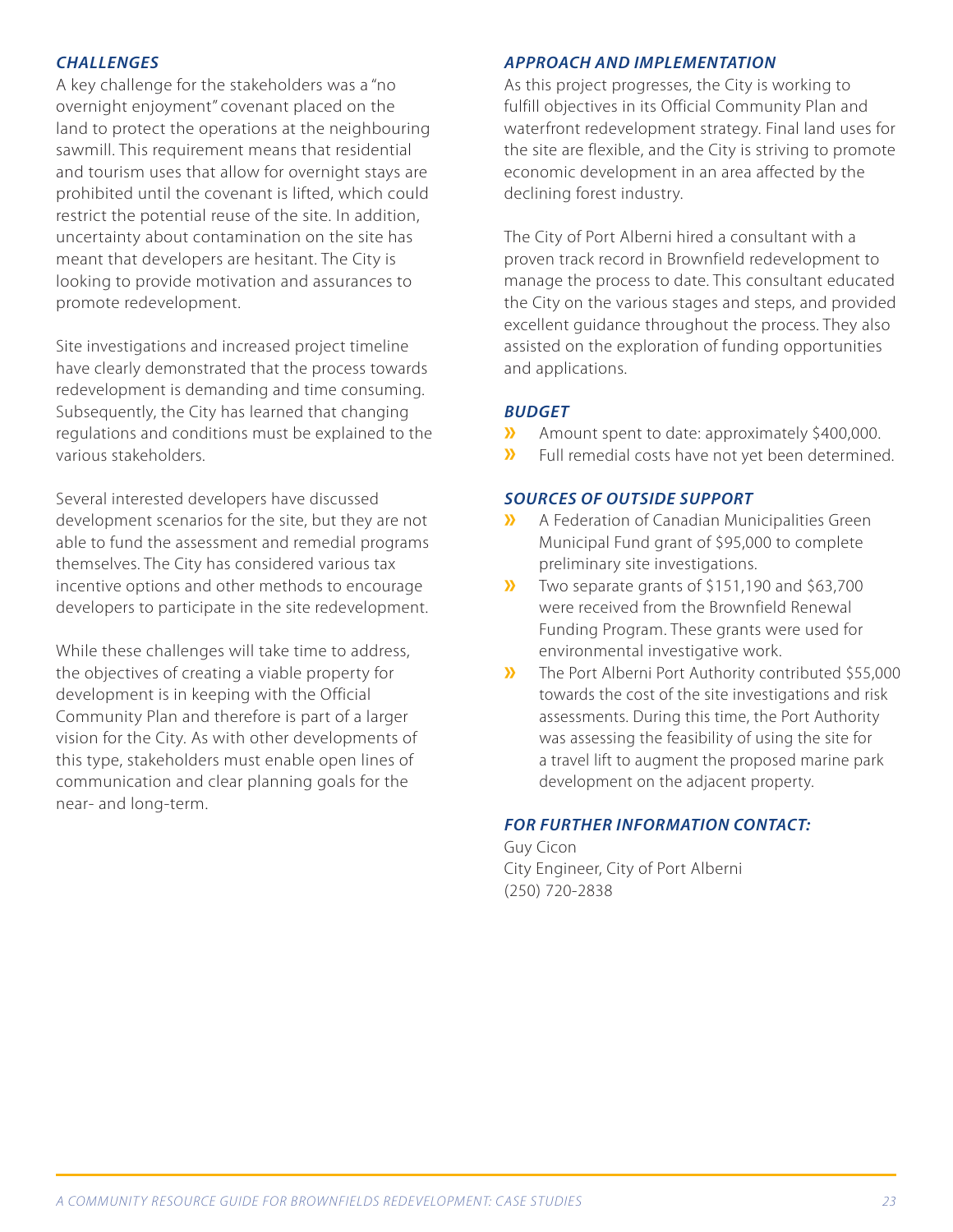### *CHALLENGES*

A key challenge for the stakeholders was a "no overnight enjoyment" covenant placed on the land to protect the operations at the neighbouring sawmill. This requirement means that residential and tourism uses that allow for overnight stays are prohibited until the covenant is lifted, which could restrict the potential reuse of the site. In addition, uncertainty about contamination on the site has meant that developers are hesitant. The City is looking to provide motivation and assurances to promote redevelopment.

Site investigations and increased project timeline have clearly demonstrated that the process towards redevelopment is demanding and time consuming. Subsequently, the City has learned that changing regulations and conditions must be explained to the various stakeholders.

Several interested developers have discussed development scenarios for the site, but they are not able to fund the assessment and remedial programs themselves. The City has considered various tax incentive options and other methods to encourage developers to participate in the site redevelopment.

While these challenges will take time to address, the objectives of creating a viable property for development is in keeping with the Official Community Plan and therefore is part of a larger vision for the City. As with other developments of this type, stakeholders must enable open lines of communication and clear planning goals for the near- and long-term.

#### *APPROACH AND IMPLEMENTATION*

As this project progresses, the City is working to fulfill objectives in its Official Community Plan and waterfront redevelopment strategy. Final land uses for the site are flexible, and the City is striving to promote economic development in an area affected by the declining forest industry.

The City of Port Alberni hired a consultant with a proven track record in Brownfield redevelopment to manage the process to date. This consultant educated the City on the various stages and steps, and provided excellent guidance throughout the process. They also assisted on the exploration of funding opportunities and applications.

#### *BUDGET*

- **»** Amount spent to date: approximately \$400,000.<br>**»** Full remedial costs have not vet been determined
- **»** Full remedial costs have not yet been determined.

#### *SOURCES OF OUTSIDE SUPPORT*

- **»** A Federation of Canadian Municipalities Green Municipal Fund grant of \$95,000 to complete preliminary site investigations.
- **»** Two separate grants of \$151,190 and \$63,700 were received from the Brownfield Renewal Funding Program. These grants were used for environmental investigative work.
- **»** The Port Alberni Port Authority contributed \$55,000 towards the cost of the site investigations and risk assessments. During this time, the Port Authority was assessing the feasibility of using the site for a travel lift to augment the proposed marine park development on the adjacent property.

#### *FOR FURTHER INFORMATION CONTACT:*

Guy Cicon City Engineer, City of Port Alberni (250) 720-2838